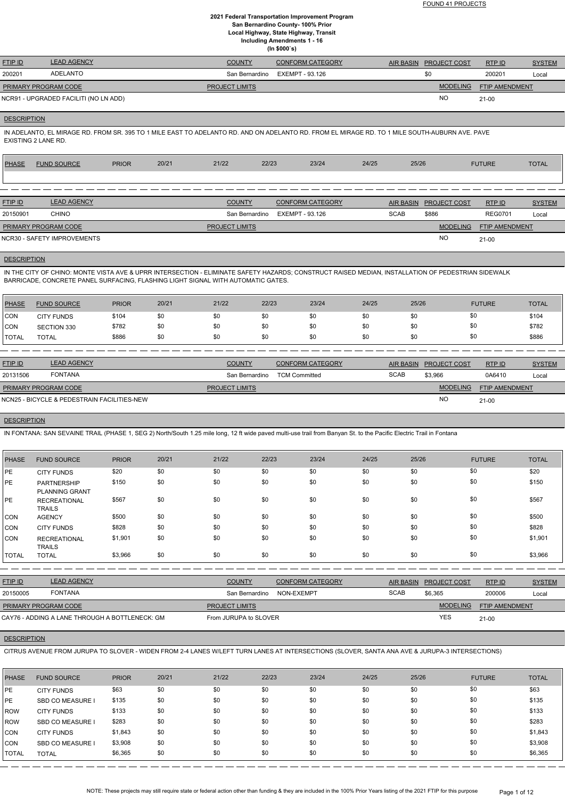FOUND 41 PROJECTS

## **2021 Federal Transportation Improvement Program San Bernardino County- 100% Prior Local Highway, State Highway, Transit Including Amendments 1 - 16 (In \$000`s)**

| FTIP ID              | <b>LEAD AGENCY</b>                    | <b>COUNTY</b>         | <b>CONFORM CATEGORY</b> | <b>AIR BASIN</b> | <b>PROJECT COST</b> | RTP ID                | <b>SYSTEM</b> |
|----------------------|---------------------------------------|-----------------------|-------------------------|------------------|---------------------|-----------------------|---------------|
| 200201               | ADELANTO                              | San Bernardino        | EXEMPT - 93.126         |                  | \$0                 | 200201                | Loca          |
| PRIMARY PROGRAM CODE |                                       | <b>PROJECT LIMITS</b> |                         |                  | <b>MODELING</b>     | <b>FTIP AMENDMENT</b> |               |
|                      | NCR91 - UPGRADED FACILITI (NO LN ADD) |                       |                         |                  | NO                  | $21 - 00$             |               |

NCR91 - UPGRADED FACILITI (NO LN ADD)

## **DESCRIPTION**

IN ADELANTO, EL MIRAGE RD. FROM SR. 395 TO 1 MILE EAST TO ADELANTO RD. AND ON ADELANTO RD. FROM EL MIRAGE RD. TO 1 MILE SOUTH-AUBURN AVE. PAVE EXISTING 2 LANE RD.

IN THE CITY OF CHINO: MONTE VISTA AVE & UPRR INTERSECTION - ELIMINATE SAFETY HAZARDS; CONSTRUCT RAISED MEDIAN, INSTALLATION OF PEDESTRIAN SIDEWALK BARRICADE, CONCRETE PANEL SURFACING, FLASHING LIGHT SIGNAL WITH AUTOMATIC GATES.

| <b>PHASE</b> | <b>FUND SOURCE</b>          | <b>PRIOR</b> | 20/21 | 21/22                 | 22/23 | 23/24                   | 24/25 | 25/26       |                     | <b>FUTURE</b>  | <b>TOTAL</b>  |
|--------------|-----------------------------|--------------|-------|-----------------------|-------|-------------------------|-------|-------------|---------------------|----------------|---------------|
|              |                             |              |       |                       |       |                         |       |             |                     |                |               |
|              |                             |              |       |                       |       |                         |       |             |                     |                |               |
| FTIPID       | <b>LEAD AGENCY</b>          |              |       | <b>COUNTY</b>         |       | <b>CONFORM CATEGORY</b> |       | AIR BASIN   | <b>PROJECT COST</b> | RTP ID         | <b>SYSTEM</b> |
| 20150901     | <b>CHINO</b>                |              |       | San Bernardino        |       | EXEMPT - 93.126         |       | <b>SCAB</b> | \$886               | <b>REG0701</b> | Local         |
|              | PRIMARY PROGRAM CODE        |              |       | <b>PROJECT LIMITS</b> |       |                         |       |             | <b>MODELING</b>     | FTIP AMENDMENT |               |
|              | NCR30 - SAFETY IMPROVEMENTS |              |       |                       |       |                         |       |             | <b>NO</b>           | $21 - 00$      |               |

#### **DESCRIPTION**

| <b>PHASE</b> | <b>FUND SOURCE</b> | <b>PRIOR</b> | 20/21 | 21/22 | 22/23 | 23/24 | 24/25 | 25/26 | <b>FUTURE</b> | <b>TOTAL</b> |
|--------------|--------------------|--------------|-------|-------|-------|-------|-------|-------|---------------|--------------|
| <b>CON</b>   | <b>CITY FUNDS</b>  | \$104        | \$0   | \$0   | \$0   | \$0   | \$0   | \$0   | \$0           | \$104        |
| <b>CON</b>   | SECTION 330        | \$782        | \$0   | \$0   | \$0   | \$0   | \$0   | \$0   | \$0           | \$782        |
| <b>TOTAL</b> | <b>TOTAL</b>       | \$886        | \$0   | \$0   | \$0   | \$0   | \$0   | \$0   | \$0           | \$886        |
|              |                    |              |       |       |       |       |       |       |               |              |

| <b>FTIP ID</b>              | <b>LEAD AGENCY</b>                          | <b>COUNTY</b>         | <b>CONFORM CATEGORY</b> | <b>AIR BASIN</b> | <b>PROJECT COST</b> | RTP ID                | <b>SYSTEM</b> |
|-----------------------------|---------------------------------------------|-----------------------|-------------------------|------------------|---------------------|-----------------------|---------------|
| 20131506                    | <b>FONTANA</b>                              | San Bernardino        | <b>TCM Committed</b>    | <b>SCAB</b>      | \$3,966             | 0A6410                | Local         |
| <b>PRIMARY PROGRAM CODE</b> |                                             | <b>PROJECT LIMITS</b> |                         |                  | <b>MODELING</b>     | <b>FTIP AMENDMENT</b> |               |
|                             | NCN25 - BICYCLE & PEDESTRAIN FACILITIES-NEW |                       |                         |                  | <b>NO</b>           | $21 - 00$             |               |

#### **DESCRIPTION**

IN FONTANA: SAN SEVAINE TRAIL (PHASE 1, SEG 2) North/South 1.25 mile long, 12 ft wide paved multi-use trail from Banyan St. to the Pacific Electric Trail in Fontana

| <b>PHASE</b> | <b>FUND SOURCE</b>                          | <b>PRIOR</b> | 20/21 | 21/22 | 22/23 | 23/24 | 24/25 | 25/26 | <b>FUTURE</b> | <b>TOTAL</b> |
|--------------|---------------------------------------------|--------------|-------|-------|-------|-------|-------|-------|---------------|--------------|
| PE           | <b>CITY FUNDS</b>                           | \$20         | \$0   | \$0   | \$0   | \$0   | \$0   | \$0   | \$0           | \$20         |
| PE           | <b>PARTNERSHIP</b><br><b>PLANNING GRANT</b> | \$150        | \$0   | \$0   | \$0   | \$0   | \$0   | \$0   | \$0           | \$150        |
| PE           | <b>RECREATIONAL</b><br><b>TRAILS</b>        | \$567        | \$0   | \$0   | \$0   | \$0   | \$0   | \$0   | \$0           | \$567        |
| <b>CON</b>   | <b>AGENCY</b>                               | \$500        | \$0   | \$0   | \$0   | \$0   | \$0   | \$0   | \$0           | \$500        |
| <b>CON</b>   | <b>CITY FUNDS</b>                           | \$828        | \$0   | \$0   | \$0   | \$0   | \$0   | \$0   | \$0           | \$828        |
| <b>CON</b>   | <b>RECREATIONAL</b><br><b>TRAILS</b>        | \$1,901      | \$0   | \$0   | \$0   | \$0   | \$0   | \$0   | \$0           | \$1,901      |
| <b>TOTAL</b> | <b>TOTAL</b>                                | \$3,966      | \$0   | \$0   | \$0   | \$0   | \$0   | \$0   | \$0           | \$3,966      |

| <u>FTIP ID</u> | <b>LEAD AGENCY</b> | <b>COUNTY</b>  | <b>NFORM CATEGORY</b> | AIR BASIN | <b>PROJECT COST</b> | RTP ID | <b>OVOTEM</b><br>'SIEM |
|----------------|--------------------|----------------|-----------------------|-----------|---------------------|--------|------------------------|
| 20150005       | FONTANA            | San Bernardino | NON-EXEMPT            | SCAB      | \$6,365             | 200006 | Loca                   |

| PRIMARY PROGRAM CODE                           | <b>PROJECT LIMITS</b>     | MODELING   | <b>FTIP AMENDMENT</b> |
|------------------------------------------------|---------------------------|------------|-----------------------|
| CAY76 - ADDING A LANE THROUGH A BOTTLENECK: GM | JURUPA to SLOVER<br>From⊣ | <b>YES</b> | $21 - 00$             |

## **DESCRIPTION**

CITRUS AVENUE FROM JURUPA TO SLOVER - WIDEN FROM 2-4 LANES W/LEFT TURN LANES AT INTERSECTIONS (SLOVER, SANTA ANA AVE & JURUPA-3 INTERSECTIONS)

| <b>PHASE</b>  | <b>FUND SOURCE</b>      | <b>PRIOR</b> | 20/21 | 21/22 | 22/23 | 23/24 | 24/25 | 25/26 | <b>FUTURE</b> | <b>TOTAL</b> |
|---------------|-------------------------|--------------|-------|-------|-------|-------|-------|-------|---------------|--------------|
| <b>IPE</b>    | <b>CITY FUNDS</b>       | \$63         | \$0   | \$0   | \$0   | \$0   | \$0   | \$0   | \$0           | \$63         |
| <b>IPE</b>    | <b>SBD CO MEASURE I</b> | \$135        | \$0   | \$0   | \$0   | \$0   | \$0   | \$0   | \$0           | \$135        |
| <b>IROW</b>   | <b>CITY FUNDS</b>       | \$133        | \$0   | \$0   | \$0   | \$0   | \$0   | \$0   | \$0           | \$133        |
| <b>IROW</b>   | <b>SBD CO MEASURE I</b> | \$283        | \$0   | \$0   | \$0   | \$0   | \$0   | \$0   | \$0           | \$283        |
| CON           | <b>CITY FUNDS</b>       | \$1,843      | \$0   | \$0   | \$0   | \$0   | \$0   | \$0   | \$0           | \$1,843      |
| CON           | <b>SBD CO MEASURE I</b> | \$3,908      | \$0   | \$0   | \$0   | \$0   | \$0   | \$0   | \$0           | \$3,908      |
| <b>ITOTAL</b> | <b>TOTAL</b>            | \$6,365      | \$0   | \$0   | \$0   | \$0   | \$0   | \$0   | \$0           | \$6,365      |

NOTE: These projects may still require state or federal action other than funding & they are included in the 100% Prior Years listing of the 2021 FTIP for this purpose Page 1 of 12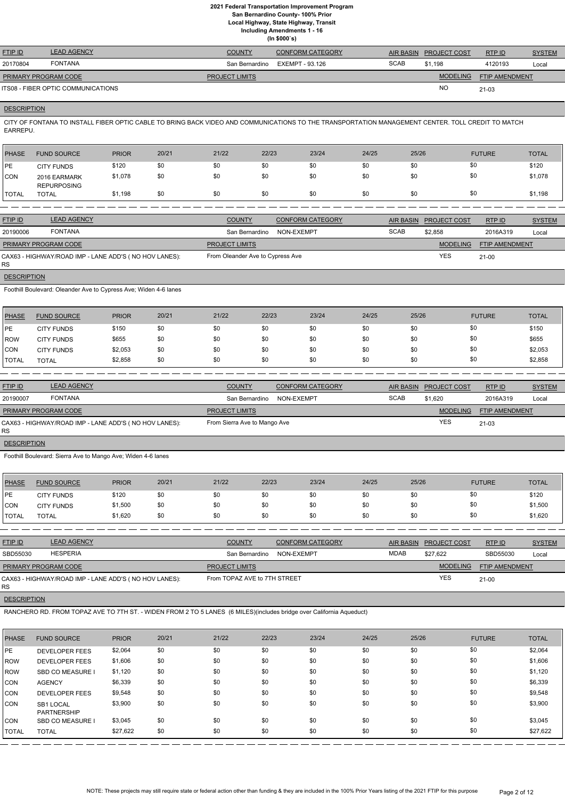**Local Highway, State Highway, Transit**

**Including Amendments 1 - 16**

|  | (ln \$000's) |
|--|--------------|
|--|--------------|

| <b>FTIP ID</b>              | <b>LEAD AGENCY</b>                 | <b>COUNTY</b>         | <b>CONFORM CATEGORY</b> | <b>AIR BASIN</b> | <b>PROJECT COST</b> | RTPID                 | <b>SYSTEM</b> |
|-----------------------------|------------------------------------|-----------------------|-------------------------|------------------|---------------------|-----------------------|---------------|
| 20170804                    | FONTANA                            | San Bernardino        | EXEMPT - 93.126         | <b>SCAB</b>      | \$1.198             | 4120193               | Local         |
| <b>PRIMARY PROGRAM CODE</b> |                                    | <b>PROJECT LIMITS</b> |                         |                  | <b>MODELING</b>     | <b>FTIP AMENDMENT</b> |               |
|                             | ITS08 - FIBER OPTIC COMMUNICATIONS |                       |                         |                  | <b>NO</b>           | $21 - 03$             |               |

# **DESCRIPTION**

CITY OF FONTANA TO INSTALL FIBER OPTIC CABLE TO BRING BACK VIDEO AND COMMUNICATIONS TO THE TRANSPORTATION MANAGEMENT CENTER. TOLL CREDIT TO MATCH EARREPU.

| <b>PHASE</b>  | <b>FUND SOURCE</b>                 | <b>PRIOR</b> | 20/21 | 21/22 | 22/23 | 23/24 | 24/25 | 25/26 | <b>FUTURE</b> | <b>TOTAL</b> |
|---------------|------------------------------------|--------------|-------|-------|-------|-------|-------|-------|---------------|--------------|
| <b>IPE</b>    | <b>CITY FUNDS</b>                  | \$120        | \$0   | \$0   | \$0   | \$0   | \$0   | \$0   | \$0           | \$120        |
| CON           | 2016 EARMARK<br><b>REPURPOSING</b> | \$1,078      | \$0   | \$0   | \$0   | \$0   | \$0   | \$0   | \$0           | \$1,078      |
| <b>ITOTAL</b> | <b>TOTAL</b>                       | \$1,198      | \$0   | \$0   | \$0   | \$0   | \$0   | \$0   | \$0           | \$1,198      |
|               |                                    |              |       |       |       |       |       |       |               |              |

| <b>FTIP ID</b>              | <b>LEAD AGENCY</b>                                    | <b>COUNTY</b>                    | <b>CONFORM CATEGORY</b> | <b>AIR BASIN</b> | <b>PROJECT COST</b> | RTP ID                | <b>SYSTEM</b> |
|-----------------------------|-------------------------------------------------------|----------------------------------|-------------------------|------------------|---------------------|-----------------------|---------------|
| 20190006                    | <b>FONTANA</b>                                        | San Bernardino                   | NON-EXEMPT              | <b>SCAB</b>      | \$2,858             | 2016A319              | Local         |
| <b>PRIMARY PROGRAM CODE</b> |                                                       | <b>PROJECT LIMITS</b>            |                         |                  | <b>MODELING</b>     | <b>FTIP AMENDMENT</b> |               |
| <b>RS</b>                   | CAX63 - HIGHWAY/ROAD IMP - LANE ADD'S (NO HOV LANES): | From Oleander Ave to Cypress Ave |                         |                  | <b>YES</b>          | $21 - 00$             |               |

**DESCRIPTION** 

Foothill Boulevard: Oleander Ave to Cypress Ave; Widen 4-6 lanes

| <b>PHASE</b> | <b>FUND SOURCE</b> | <b>PRIOR</b> | 20/21 | 21/22 | 22/23 | 23/24 | 24/25 | 25/26 | <b>FUTURE</b> | <b>TOTAL</b> |
|--------------|--------------------|--------------|-------|-------|-------|-------|-------|-------|---------------|--------------|
| PE           | <b>CITY FUNDS</b>  | \$150        | \$0   | \$0   | \$0   | \$0   | \$0   | \$0   | \$0           | \$150        |
| ROW          | <b>CITY FUNDS</b>  | \$655        | \$0   | \$0   | \$0   | \$0   | \$0   | \$0   | \$0           | \$655        |
| <b>ICON</b>  | <b>CITY FUNDS</b>  | \$2,053      | \$0   | \$0   | \$0   | \$0   | \$0   | \$0   | \$0           | \$2,053      |
| <b>TOTAL</b> | TOTAL              | \$2,858      | \$0   | \$0   | \$0   | \$0   | \$0   | \$0   | \$0           | \$2,858      |

| <b>FTIP ID</b>              | <b>LEAD AGENCY</b>                                    | <b>COUNTY</b>                | <b>CONFORM CATEGORY</b> | AIR BASIN   | <b>PROJECT COST</b> | RTPID                 | <b>SYSTEM</b> |
|-----------------------------|-------------------------------------------------------|------------------------------|-------------------------|-------------|---------------------|-----------------------|---------------|
| 20190007                    | <b>FONTANA</b>                                        | San Bernardino               | NON-EXEMPT              | <b>SCAB</b> | \$1,620             | 2016A319              | Local         |
| <b>PRIMARY PROGRAM CODE</b> |                                                       | <b>PROJECT LIMITS</b>        |                         |             | <b>MODELING</b>     | <b>FTIP AMENDMENT</b> |               |
| <b>RS</b>                   | CAX63 - HIGHWAY/ROAD IMP - LANE ADD'S (NO HOV LANES): | From Sierra Ave to Mango Ave |                         |             | YES                 | 21-03                 |               |
|                             |                                                       |                              |                         |             |                     |                       |               |

# **DESCRIPTION**

Foothill Boulevard: Sierra Ave to Mango Ave; Widen 4-6 lanes

| PHASE        | <b>FUND SOURCE</b> | <b>PRIOR</b> | 20/21 | 21/22 | 22/23 | 23/24 | 24/25 | 25/26 | <b>FUTURE</b> | <b>TOTAL</b> |
|--------------|--------------------|--------------|-------|-------|-------|-------|-------|-------|---------------|--------------|
| <b>IPE</b>   | <b>CITY FUNDS</b>  | \$120        | \$0   | \$0   | \$0   | \$0   | \$0   | \$0   | \$0           | \$120        |
| <b>CON</b>   | <b>CITY FUNDS</b>  | \$1,500      | \$0   | \$0   | \$0   | \$0   | \$0   | \$0   | \$0           | \$1,500      |
| <b>TOTAL</b> | <b>TOTAL</b>       | \$1,620      | \$0   | \$0   | \$0   | \$0   | \$0   | \$0   | \$0           | \$1,620      |

| <b>FTIP ID</b>              | <b>LEAD AGENCY</b>                                     | <b>COUNTY</b>                | <b>CONFORM CATEGORY</b> | <b>AIR BASIN</b> | <b>PROJECT COST</b> | RTP ID                | <b>SYSTEM</b> |
|-----------------------------|--------------------------------------------------------|------------------------------|-------------------------|------------------|---------------------|-----------------------|---------------|
| SBD55030                    | <b>HESPERIA</b>                                        | San Bernardino               | NON-EXEMPT              | <b>MDAB</b>      | \$27,622            | SBD55030              | Local         |
| <b>PRIMARY PROGRAM CODE</b> |                                                        | <b>PROJECT LIMITS</b>        |                         |                  | <b>MODELING</b>     | <b>FTIP AMENDMENT</b> |               |
| RS.                         | CAX63 - HIGHWAY/ROAD IMP - LANE ADD'S ( NO HOV LANES): | From TOPAZ AVE to 7TH STREET |                         |                  | <b>YES</b>          | 21-00                 |               |

**DESCRIPTION** 

# RANCHERO RD. FROM TOPAZ AVE TO 7TH ST. - WIDEN FROM 2 TO 5 LANES (6 MILES)(includes bridge over California Aqueduct)

| <b>PHASE</b> | <b>FUND SOURCE</b>              | <b>PRIOR</b> | 20/21 | 21/22 | 22/23 | 23/24 | 24/25 | 25/26 | <b>FUTURE</b> | <b>TOTAL</b> |
|--------------|---------------------------------|--------------|-------|-------|-------|-------|-------|-------|---------------|--------------|
| <b>IPE</b>   | <b>DEVELOPER FEES</b>           | \$2,064      | \$0   | \$0   | \$0   | \$0   | \$0   | \$0   | \$0           | \$2,064      |
| <b>IROW</b>  | <b>DEVELOPER FEES</b>           | \$1,606      | \$0   | \$0   | \$0   | \$0   | \$0   | \$0   | \$0           | \$1,606      |
| <b>IROW</b>  | <b>SBD CO MEASURE I</b>         | \$1,120      | \$0   | \$0   | \$0   | \$0   | \$0   | \$0   | \$0           | \$1,120      |
| <b>CON</b>   | <b>AGENCY</b>                   | \$6,339      | \$0   | \$0   | \$0   | \$0   | \$0   | \$0   | \$0           | \$6,339      |
| <b>CON</b>   | <b>DEVELOPER FEES</b>           | \$9,548      | \$0   | \$0   | \$0   | \$0   | \$0   | \$0   | \$0           | \$9,548      |
| <b>CON</b>   | SB1 LOCAL<br><b>PARTNERSHIP</b> | \$3,900      | \$0   | \$0   | \$0   | \$0   | \$0   | \$0   | \$0           | \$3,900      |
| <b>CON</b>   | <b>SBD CO MEASURE I</b>         | \$3,045      | \$0   | \$0   | \$0   | \$0   | \$0   | \$0   | \$0           | \$3,045      |
| <b>TOTAL</b> | <b>TOTAL</b>                    | \$27,622     | \$0   | \$0   | \$0   | \$0   | \$0   | \$0   | \$0           | \$27,622     |

NOTE: These projects may still require state or federal action other than funding & they are included in the 100% Prior Years listing of the 2021 FTIP for this purpose Page 2 of 12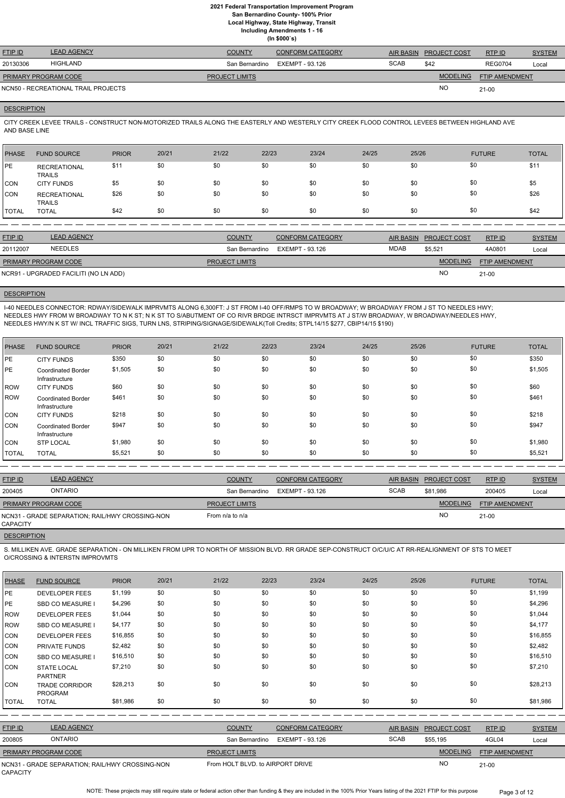**Local Highway, State Highway, Transit**

**Including Amendments 1 - 16**

**(In \$000`s)**

| <b>FTIP ID</b>              | <b>LEAD AGENCY</b>                  | <b>COUNTY</b>         | <b>CONFORM CATEGORY</b> |             | AIR BASIN PROJECT COST | RTPID          | <b>SYSTEM</b> |
|-----------------------------|-------------------------------------|-----------------------|-------------------------|-------------|------------------------|----------------|---------------|
| 20130306                    | HIGHLAND                            | San Bernardino        | EXEMPT - 93.126         | <b>SCAB</b> | \$42                   | <b>REG0704</b> | Local         |
| <b>PRIMARY PROGRAM CODE</b> |                                     | <b>PROJECT LIMITS</b> |                         |             | <b>MODELING</b>        | FTIP AMENDMENT |               |
|                             | NCN50 - RECREATIONAL TRAIL PROJECTS |                       |                         |             | <b>NC</b>              | $21 - 00$      |               |

## **DESCRIPTION**

CITY CREEK LEVEE TRAILS - CONSTRUCT NON-MOTORIZED TRAILS ALONG THE EASTERLY AND WESTERLY CITY CREEK FLOOD CONTROL LEVEES BETWEEN HIGHLAND AVE AND BASE LINE

| PHASE        | <b>FUND SOURCE</b>                   | <b>PRIOR</b> | 20/21 | 21/22 | 22/23 | 23/24 | 24/25 | 25/26 | <b>FUTURE</b> | <b>TOTAL</b> |
|--------------|--------------------------------------|--------------|-------|-------|-------|-------|-------|-------|---------------|--------------|
| <b>IPE</b>   | <b>RECREATIONAL</b><br><b>TRAILS</b> | \$11         | \$0   | \$0   | \$0   | \$0   | \$0   | \$0   | \$0           | \$11         |
| CON          | <b>CITY FUNDS</b>                    | \$5          | \$0   | \$0   | \$0   | \$0   | \$0   | \$0   | \$0           | \$5          |
| CON          | <b>RECREATIONAL</b><br><b>TRAILS</b> | \$26         | \$0   | \$0   | \$0   | \$0   | \$0   | \$0   | \$0           | \$26         |
| <b>TOTAL</b> | <b>TOTAL</b>                         | \$42         | \$0   | \$0   | \$0   | \$0   | \$0   | \$0   | \$0           | \$42         |

| <b>FTIP ID</b>              | <b>LEAD AGENCY</b>                    | <b>COUNTY</b>         | <b>CONFORM CATEGORY</b> |             | AIR BASIN PROJECT COST | RTP ID                | <b>SYSTEM</b> |
|-----------------------------|---------------------------------------|-----------------------|-------------------------|-------------|------------------------|-----------------------|---------------|
| 20112007                    | <b>NEEDLES</b>                        | San Bernardino        | EXEMPT - 93.126         | <b>MDAB</b> | \$5,521                | 4A0801                | Local         |
| <b>PRIMARY PROGRAM CODE</b> |                                       | <b>PROJECT LIMITS</b> |                         |             | <b>MODELING</b>        | <b>FTIP AMENDMENT</b> |               |
|                             | NCR91 - UPGRADED FACILITI (NO LN ADD) |                       |                         |             | <b>NC</b>              | $21 - 00$             |               |

#### **DESCRIPTION**

I-40 NEEDLES CONNECTOR: RDWAY/SIDEWALK IMPRVMTS ALONG 6,300FT: J ST FROM I-40 OFF/RMPS TO W BROADWAY; W BROADWAY FROM J ST TO NEEDLES HWY; NEEDLES HWY FROM W BROADWAY TO N K ST; N K ST TO S/ABUTMENT OF CO RIVR BRDGE INTRSCT IMPRVMTS AT J ST/W BROADWAY, W BROADWAY/NEEDLES HWY, NEEDLES HWY/N K ST W/ INCL TRAFFIC SIGS, TURN LNS, STRIPING/SIGNAGE/SIDEWALK(Toll Credits; STPL14/15 \$277, CBIP14/15 \$190)

| <b>PHASE</b> | <b>FUND SOURCE</b>                          | <b>PRIOR</b> | 20/21 | 21/22 | 22/23 | 23/24 | 24/25 | 25/26 | <b>FUTURE</b> | <b>TOTAL</b> |
|--------------|---------------------------------------------|--------------|-------|-------|-------|-------|-------|-------|---------------|--------------|
| PE           | <b>CITY FUNDS</b>                           | \$350        | \$0   | \$0   | \$0   | \$0   | \$0   | \$0   | \$0           | \$350        |
| <b>PE</b>    | <b>Coordinated Border</b><br>Infrastructure | \$1,505      | \$0   | \$0   | \$0   | \$0   | \$0   | \$0   | \$0           | \$1,505      |
| <b>ROW</b>   | <b>CITY FUNDS</b>                           | \$60         | \$0   | \$0   | \$0   | \$0   | \$0   | \$0   | \$0           | \$60         |
| <b>ROW</b>   | <b>Coordinated Border</b><br>Infrastructure | \$461        | \$0   | \$0   | \$0   | \$0   | \$0   | \$0   | \$0           | \$461        |
| <b>CON</b>   | <b>CITY FUNDS</b>                           | \$218        | \$0   | \$0   | \$0   | \$0   | \$0   | \$0   | \$0           | \$218        |
| <b>CON</b>   | <b>Coordinated Border</b><br>Infrastructure | \$947        | \$0   | \$0   | \$0   | \$0   | \$0   | \$0   | \$0           | \$947        |
| <b>CON</b>   | <b>STP LOCAL</b>                            | \$1,980      | \$0   | \$0   | \$0   | \$0   | \$0   | \$0   | \$0           | \$1,980      |
| <b>TOTAL</b> | <b>TOTAL</b>                                | \$5,521      | \$0   | \$0   | \$0   | \$0   | \$0   | \$0   | \$0           | \$5,521      |

| <b>FTIP ID</b>              | <b>LEAD AGENCY</b>                              | <b>COUNTY</b>         | <b>CONFORM CATEGORY</b> |             | AIR BASIN PROJECT COST | RTP ID                | <b>SYSTEM</b> |
|-----------------------------|-------------------------------------------------|-----------------------|-------------------------|-------------|------------------------|-----------------------|---------------|
| 200405                      | <b>ONTARIO</b>                                  | San Bernardino        | EXEMPT - 93.126         | <b>SCAB</b> | \$81.986               | 200405                | Local         |
| <b>PRIMARY PROGRAM CODE</b> |                                                 | <b>PROJECT LIMITS</b> |                         |             | <b>MODELING</b>        | <b>FTIP AMENDMENT</b> |               |
| CAPACITY                    | NCN31 - GRADE SEPARATION; RAIL/HWY CROSSING-NON | From $n/a$ to $n/a$   |                         |             | <b>NO</b>              | $21 - 00$             |               |
| <b>DESCRIPTION</b>          |                                                 |                       |                         |             |                        |                       |               |

S. MILLIKEN AVE. GRADE SEPARATION - ON MILLIKEN FROM UPR TO NORTH OF MISSION BLVD. RR GRADE SEP-CONSTRUCT O/C/U/C AT RR-REALIGNMENT OF STS TO MEET O/CROSSING & INTERSTN IMPROVMTS

| <b>PHASE</b>    | <b>FUND SOURCE</b>                              | <b>PRIOR</b> | 20/21 | 21/22          | 22/23                            | 23/24                   | 24/25 | 25/26                   | <b>FUTURE</b>                     | <b>TOTAL</b>  |
|-----------------|-------------------------------------------------|--------------|-------|----------------|----------------------------------|-------------------------|-------|-------------------------|-----------------------------------|---------------|
| IPE.            | <b>DEVELOPER FEES</b>                           | \$1,199      | \$0   | \$0            | \$0                              | \$0                     | \$0   | \$0                     | \$0                               | \$1,199       |
| <b>PE</b>       | <b>SBD CO MEASURE I</b>                         | \$4,296      | \$0   | \$0            | \$0                              | \$0                     | \$0   | \$0                     | \$0                               | \$4,296       |
| <b>ROW</b>      | <b>DEVELOPER FEES</b>                           | \$1,044      | \$0   | \$0            | \$0                              | \$0                     | \$0   | \$0                     | \$0                               | \$1,044       |
| <b>ROW</b>      | SBD CO MEASURE I                                | \$4,177      | \$0   | \$0            | \$0                              | \$0                     | \$0   | \$0                     | \$0                               | \$4,177       |
| <b>CON</b>      | <b>DEVELOPER FEES</b>                           | \$16,855     | \$0   | \$0            | \$0                              | \$0                     | \$0   | \$0                     | \$0                               | \$16,855      |
| CON             | <b>PRIVATE FUNDS</b>                            | \$2,482      | \$0   | \$0            | \$0                              | \$0                     | \$0   | \$0                     | \$0                               | \$2,482       |
| CON             | <b>SBD CO MEASURE I</b>                         | \$16,510     | \$0   | \$0            | \$0                              | \$0                     | \$0   | \$0                     | \$0                               | \$16,510      |
| <b>CON</b>      | <b>STATE LOCAL</b><br><b>PARTNER</b>            | \$7,210      | \$0   | \$0            | \$0                              | \$0                     | \$0   | \$0                     | \$0                               | \$7,210       |
| <b>CON</b>      | <b>TRADE CORRIDOR</b><br><b>PROGRAM</b>         | \$28,213     | \$0   | \$0            | \$0                              | \$0                     | \$0   | \$0                     | \$0                               | \$28,213      |
| <b>TOTAL</b>    | <b>TOTAL</b>                                    | \$81,986     | \$0   | \$0            | \$0                              | \$0                     | \$0   | \$0                     | \$0                               | \$81,986      |
|                 |                                                 |              |       |                |                                  |                         |       |                         |                                   |               |
| FTIP ID         | <b>LEAD AGENCY</b>                              |              |       | <b>COUNTY</b>  |                                  | <b>CONFORM CATEGORY</b> |       | <b>AIR BASIN</b>        | PROJECT COST<br>RTP ID            | <b>SYSTEM</b> |
| 200805          | <b>ONTARIO</b>                                  |              |       |                | San Bernardino                   | <b>EXEMPT - 93.126</b>  |       | <b>SCAB</b><br>\$55,195 | 4GL04                             | Local         |
|                 | PRIMARY PROGRAM CODE                            |              |       | PROJECT LIMITS |                                  |                         |       |                         | <b>MODELING</b><br>FTIP AMENDMENT |               |
| <b>CAPACITY</b> | NCN31 - GRADE SEPARATION; RAIL/HWY CROSSING-NON |              |       |                | From HOLT BLVD, to AIRPORT DRIVE |                         |       |                         | <b>NO</b><br>$21-00$              |               |

NOTE: These projects may still require state or federal action other than funding & they are included in the 100% Prior Years listing of the 2021 FTIP for this purpose Page 3 of 12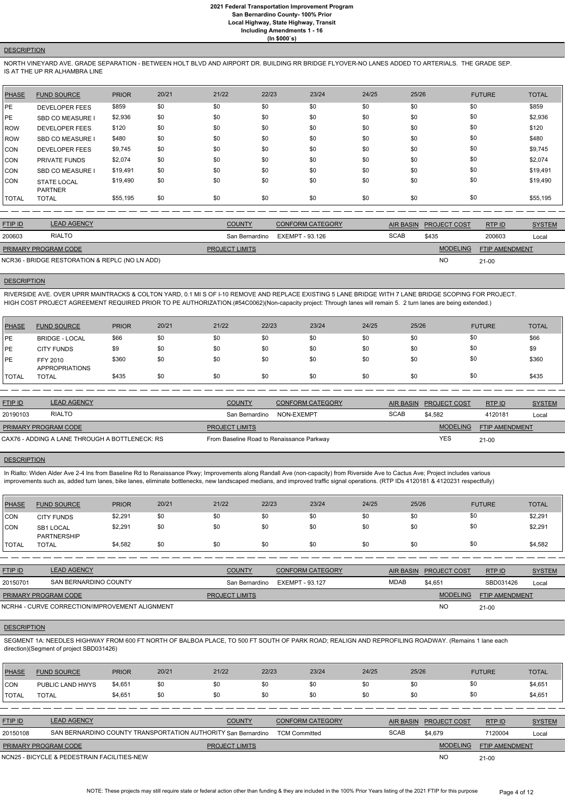#### **DESCRIPTION**

NORTH VINEYARD AVE. GRADE SEPARATION - BETWEEN HOLT BLVD AND AIRPORT DR. BUILDING RR BRIDGE FLYOVER-NO LANES ADDED TO ARTERIALS. THE GRADE SEP. IS AT THE UP RR ALHAMBRA LINE

| <b>PHASE</b> | <b>FUND SOURCE</b>                   | <b>PRIOR</b> | 20/21 | 21/22 | 22/23 | 23/24 | 24/25 | 25/26 | <b>FUTURE</b> | <b>TOTAL</b> |
|--------------|--------------------------------------|--------------|-------|-------|-------|-------|-------|-------|---------------|--------------|
| <b>IPE</b>   | <b>DEVELOPER FEES</b>                | \$859        | \$0   | \$0   | \$0   | \$0   | \$0   | \$0   | \$0           | \$859        |
| <b>IPE</b>   | <b>SBD CO MEASURE I</b>              | \$2,936      | \$0   | \$0   | \$0   | \$0   | \$0   | \$0   | \$0           | \$2,936      |
| <b>IROW</b>  | <b>DEVELOPER FEES</b>                | \$120        | \$0   | \$0   | \$0   | \$0   | \$0   | \$0   | \$0           | \$120        |
| ROW          | <b>SBD CO MEASURE I</b>              | \$480        | \$0   | \$0   | \$0   | \$0   | \$0   | \$0   | \$0           | \$480        |
| CON          | <b>DEVELOPER FEES</b>                | \$9,745      | \$0   | \$0   | \$0   | \$0   | \$0   | \$0   | \$0           | \$9,745      |
| CON          | <b>PRIVATE FUNDS</b>                 | \$2,074      | \$0   | \$0   | \$0   | \$0   | \$0   | \$0   | \$0           | \$2,074      |
| ICON         | <b>SBD CO MEASURE I</b>              | \$19,491     | \$0   | \$0   | \$0   | \$0   | \$0   | \$0   | \$0           | \$19,491     |
| ICON         | <b>STATE LOCAL</b><br><b>PARTNER</b> | \$19,490     | \$0   | \$0   | \$0   | \$0   | \$0   | \$0   | \$0           | \$19,490     |
| <b>TOTAL</b> | <b>TOTAL</b>                         | \$55,195     | \$0   | \$0   | \$0   | \$0   | \$0   | \$0   | \$0           | \$55,195     |

| <b>FTIP ID</b>              | <b>LEAD AGENCY</b>                             | <b>COUNTY</b>         | <b>CONFORM CATEGORY</b>        |             | AIR BASIN PROJECT COST | RTPID                 | <b>SYSTEM</b> |
|-----------------------------|------------------------------------------------|-----------------------|--------------------------------|-------------|------------------------|-----------------------|---------------|
| 200603                      | <b>RIALTO</b>                                  |                       | San Bernardino EXEMPT - 93.126 | <b>SCAB</b> | \$435                  | 200603                | Local         |
| <b>PRIMARY PROGRAM CODE</b> |                                                | <b>PROJECT LIMITS</b> |                                |             | <b>MODELING</b>        | <b>FTIP AMENDMENT</b> |               |
|                             | NCR36 - BRIDGE RESTORATION & REPLC (NO LN ADD) |                       |                                |             | <b>NO</b>              | $21 - 00$             |               |

## **DESCRIPTION**

RIVERSIDE AVE. OVER UPRR MAINTRACKS & COLTON YARD, 0.1 MI S OF I-10 REMOVE AND REPLACE EXISTING 5 LANE BRIDGE WITH 7 LANE BRIDGE SCOPING FOR PROJECT. HIGH COST PROJECT AGREEMENT REQUIRED PRIOR TO PE AUTHORIZATION.(#54C0062)(Non-capacity project: Through lanes will remain 5. 2 turn lanes are being extended.)

SEGMENT 1A: NEEDLES HIGHWAY FROM 600 FT NORTH OF BALBOA PLACE, TO 500 FT SOUTH OF PARK ROAD; REALIGN AND REPROFILING ROADWAY. (Remains 1 lane each direction)(Segment of project SBD031426)

| PHASE        | <b>FUND SOURCE</b>                | <b>PRIOR</b> | 20/21 | 21/22 | 22/23 | 23/24 | 24/25 | 25/26 | <b>FUTURE</b> | <b>TOTAL</b> |
|--------------|-----------------------------------|--------------|-------|-------|-------|-------|-------|-------|---------------|--------------|
| <b>IPE</b>   | <b>BRIDGE - LOCAL</b>             | \$66         | \$0   | \$0   | \$0   | \$0   | \$0   | \$0   | \$0           | \$66         |
| <b>IPE</b>   | <b>CITY FUNDS</b>                 | \$9          | \$0   | \$0   | \$0   | \$0   | \$0   | \$0   | \$0           | \$9          |
| <b>PE</b>    | FFY 2010<br><b>APPROPRIATIONS</b> | \$360        | \$0   | \$0   | \$0   | \$0   | \$0   | \$0   | \$0           | \$360        |
| <b>TOTAL</b> | <b>TOTAL</b>                      | \$435        | \$0   | \$0   | \$0   | \$0   | \$0   | \$0   | \$0           | \$435        |

| <b>FTIP ID</b>       | <b>LEAD AGENCY</b>                             | <b>COUNTY</b>                             | <b>CONFORM CATEGORY</b> |             | AIR BASIN PROJECT COST | RTP ID                | <b>SYSTEM</b> |
|----------------------|------------------------------------------------|-------------------------------------------|-------------------------|-------------|------------------------|-----------------------|---------------|
| 20190103             | <b>RIALTO</b>                                  | San Bernardino                            | NON-EXEMPT              | <b>SCAB</b> | \$4.582                | 4120181               | Local         |
| PRIMARY PROGRAM CODE |                                                | <b>PROJECT LIMITS</b>                     |                         |             | <b>MODELING</b>        | <b>FTIP AMENDMENT</b> |               |
|                      | CAX76 - ADDING A LANE THROUGH A BOTTLENECK: RS | From Baseline Road to Renaissance Parkway |                         |             | <b>YES</b>             | $21-00$               |               |

#### **DESCRIPTION**

In Rialto: Widen Alder Ave 2-4 Ins from Baseline Rd to Renaissance Pkwy; Improvements along Randall Ave (non-capacity) from Riverside Ave to Cactus Ave; Project includes various improvements such as, added turn lanes, bike lanes, eliminate bottlenecks, new landscaped medians, and improved traffic signal operations. (RTP IDs 4120181 & 4120231 respectfully)

| PHASE        | <b>FUND SOURCE</b>              | <b>PRIOR</b> | 20/21 | 21/22 | 22/23 | 23/24 | 24/25 | 25/26 | <b>FUTURE</b> | <b>TOTAL</b> |
|--------------|---------------------------------|--------------|-------|-------|-------|-------|-------|-------|---------------|--------------|
| <b>CON</b>   | <b>CITY FUNDS</b>               | \$2,291      | \$0   | \$0   | \$0   | \$0   | \$0   | \$0   | \$0           | \$2,291      |
| <b>CON</b>   | SB1 LOCAL<br><b>PARTNERSHIP</b> | \$2,291      | \$0   | \$0   | \$0   | \$0   | \$0   | \$0   | \$0           | \$2,291      |
| <b>TOTAL</b> | <b>TOTAL</b>                    | \$4,582      | \$0   | \$0   | \$0   | \$0   | \$0   | \$0   | \$0           | \$4,582      |

| <b>FTIP ID</b>              | <b>LEAD AGENCY</b>    | <b>COUNTY</b>         | <b>CONFORM CATEGORY</b> |      | AIR BASIN PROJECT COST | RTPID                 | <b>SYSTEM</b> |
|-----------------------------|-----------------------|-----------------------|-------------------------|------|------------------------|-----------------------|---------------|
| 20150701                    | SAN BERNARDINO COUNTY | San Bernardino        | EXEMPT - 93.127         | MDAB | \$4,651                | SBD031426             | Local         |
| <b>PRIMARY PROGRAM CODE</b> |                       | <b>PROJECT LIMITS</b> |                         |      | <b>MODELING</b>        | <b>FTIP AMENDMENT</b> |               |

NO

#### **DESCRIPTION**

# 21-00

| PHASE          | <b>FUND SOURCE</b>                          | <b>PRIOR</b> | 20/21                                                         | 21/22                 | 22/23                | 23/24                   | 24/25 | 25/26            |                     | <b>FUTURE</b>         | <b>TOTAL</b>  |
|----------------|---------------------------------------------|--------------|---------------------------------------------------------------|-----------------------|----------------------|-------------------------|-------|------------------|---------------------|-----------------------|---------------|
| CON            | PUBLIC LAND HWYS                            | \$4,651      | \$0                                                           | \$0                   | \$0                  | \$0                     | \$0   | \$0              |                     | \$0                   | \$4,651       |
| <b>TOTAL</b>   | <b>TOTAL</b>                                | \$4,651      | \$0                                                           | \$0                   | \$0                  | \$0                     | \$0   | \$0              |                     | \$0                   | \$4,651       |
|                |                                             |              |                                                               |                       |                      |                         |       |                  |                     |                       |               |
| <b>FTIP ID</b> | LEAD AGENCY                                 |              |                                                               | <b>COUNTY</b>         |                      | <b>CONFORM CATEGORY</b> |       | <b>AIR BASIN</b> | <b>PROJECT COST</b> | RTPID                 | <b>SYSTEM</b> |
| 20150108       |                                             |              | SAN BERNARDINO COUNTY TRANSPORTATION AUTHORITY San Bernardino |                       | <b>TCM Committed</b> |                         |       | <b>SCAB</b>      | \$4.679             | 7120004               | Local         |
|                | PRIMARY PROGRAM CODE                        |              |                                                               | <b>PROJECT LIMITS</b> |                      |                         |       |                  | <b>MODELING</b>     | <b>FTIP AMENDMENT</b> |               |
|                | NCN25 - BICYCLE & PEDESTRAIN FACILITIES-NEW |              |                                                               |                       |                      |                         |       |                  | <b>NO</b>           | $21 - 00$             |               |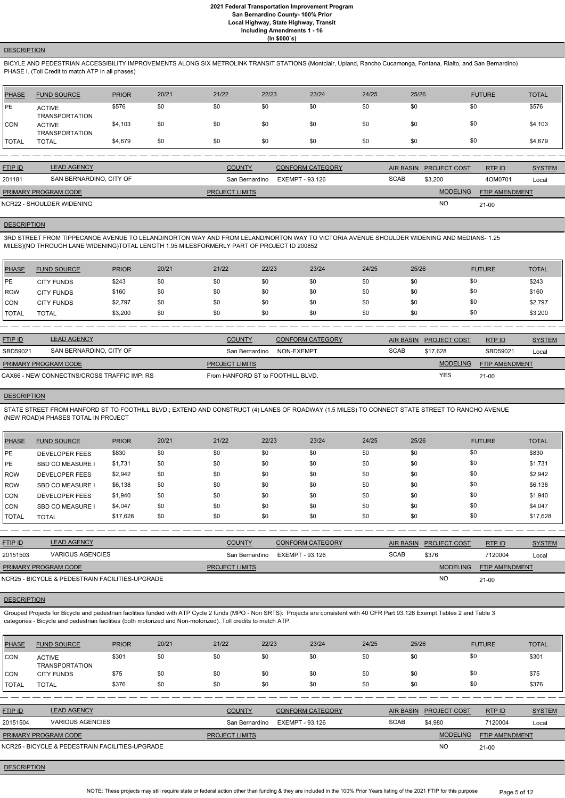# **DESCRIPTION**

BICYLE AND PEDESTRIAN ACCESSIBILITY IMPROVEMENTS ALONG SIX METROLINK TRANSIT STATIONS (Montclair, Upland, Rancho Cucamonga, Fontana, Rialto, and San Bernardino) PHASE I. (Toll Credit to match ATP in all phases)

| <b>PHASE</b> | <b>FUND SOURCE</b>                     | <b>PRIOR</b> | 20/21 | 21/22 | 22/23 | 23/24 | 24/25 | 25/26 | <b>FUTURE</b> | <b>TOTAL</b> |
|--------------|----------------------------------------|--------------|-------|-------|-------|-------|-------|-------|---------------|--------------|
| PE           | <b>ACTIVE</b><br><b>TRANSPORTATION</b> | \$576        | \$0   | \$0   | \$0   | \$0   | \$0   | \$0   | \$0           | \$576        |
| <b>CON</b>   | <b>ACTIVE</b><br><b>TRANSPORTATION</b> | \$4,103      | \$0   | \$0   | \$0   | \$0   | \$0   | \$0   | \$0           | \$4,103      |
| <b>TOTAL</b> | <b>TOTAL</b>                           | \$4,679      | \$0   | \$0   | \$0   | \$0   | \$0   | \$0   | \$0           | \$4,679      |

| <b>FTIP ID</b>              | <b>LEAD AGENCY</b>        | <b>COUNTY</b>         | <b>CONFORM CATEGORY</b> |             | AIR BASIN PROJECT COST | RTP ID                | <b>SYSTEM</b> |
|-----------------------------|---------------------------|-----------------------|-------------------------|-------------|------------------------|-----------------------|---------------|
| 201181                      | SAN BERNARDINO, CITY OF   | San Bernardino        | EXEMPT - 93.126         | <b>SCAB</b> | \$3,200                | 4OM0701               | Local         |
| <b>PRIMARY PROGRAM CODE</b> |                           | <b>PROJECT LIMITS</b> |                         |             | <b>MODELING</b>        | <b>FTIP AMENDMENT</b> |               |
|                             | NCR22 - SHOULDER WIDENING |                       |                         |             | <b>NC</b>              | $21 - 00$             |               |

#### **DESCRIPTION**

3RD STREET FROM TIPPECANOE AVENUE TO LELAND/NORTON WAY AND FROM LELAND/NORTON WAY TO VICTORIA AVENUE SHOULDER WIDENING AND MEDIANS- 1.25 MILES)(NO THROUGH LANE WIDENING)TOTAL LENGTH 1.95 MILESFORMERLY PART OF PROJECT ID 200852

| <b>PHASE</b> | <b>FUND SOURCE</b> | <b>PRIOR</b> | 20/21 | 21/22 | 22/23 | 23/24 | 24/25 | 25/26 | <b>FUTURE</b> | <b>TOTAL</b> |
|--------------|--------------------|--------------|-------|-------|-------|-------|-------|-------|---------------|--------------|
| <b>IPE</b>   | <b>CITY FUNDS</b>  | \$243        | \$0   | \$0   | \$0   | \$0   | \$0   | \$0   | \$0           | \$243        |
| <b>IROW</b>  | <b>CITY FUNDS</b>  | \$160        | \$0   | \$0   | \$0   | \$0   | \$0   | \$0   | \$0           | \$160        |
| <b>CON</b>   | <b>CITY FUNDS</b>  | \$2,797      | \$0   | \$0   | \$0   | \$0   | \$0   | \$0   | \$0           | \$2,797      |
| <b>TOTAL</b> | <b>TOTAL</b>       | \$3,200      | \$0   | \$0   | \$0   | \$0   | \$0   | \$0   | \$0           | \$3,200      |

| <b>FTIP ID</b>              | <b>LEAD AGENCY</b>                          | <b>COUNTY</b>                     | <b>CONFORM CATEGORY</b> |             | AIR BASIN PROJECT COST | <u>RTP ID</u>         | <b>SYSTEM</b> |
|-----------------------------|---------------------------------------------|-----------------------------------|-------------------------|-------------|------------------------|-----------------------|---------------|
| SBD59021                    | SAN BERNARDINO, CITY OF                     | San Bernardino                    | NON-EXEMPT              | <b>SCAB</b> | \$17.628               | SBD59021              | Local         |
| <b>PRIMARY PROGRAM CODE</b> |                                             | <b>PROJECT LIMITS</b>             |                         |             | <b>MODELING</b>        | <b>FTIP AMENDMENT</b> |               |
|                             | CAX66 - NEW CONNECTNS/CROSS TRAFFIC IMP: RS | From HANFORD ST to FOOTHILL BLVD. |                         |             | YES                    | $21 - 00$             |               |

#### **DESCRIPTION**

STATE STREET FROM HANFORD ST TO FOOTHILL BLVD.; EXTEND AND CONSTRUCT (4) LANES OF ROADWAY (1.5 MILES) TO CONNECT STATE STREET TO RANCHO AVENUE (NEW ROAD)4 PHASES TOTAL IN PROJECT

| <b>PHASE</b> | <b>FUND SOURCE</b>      | <b>PRIOR</b> | 20/21 | 21/22 | 22/23 | 23/24 | 24/25 | 25/26 | <b>FUTURE</b> | <b>TOTAL</b> |
|--------------|-------------------------|--------------|-------|-------|-------|-------|-------|-------|---------------|--------------|
| <b>IPE</b>   | <b>DEVELOPER FEES</b>   | \$830        | \$0   | \$0   | \$0   | \$0   | \$0   | \$0   | \$0           | \$830        |
| <b>IPE</b>   | <b>SBD CO MEASURE I</b> | \$1,731      | \$0   | \$0   | \$0   | \$0   | \$0   | \$0   | \$0           | \$1,731      |
| <b>ROW</b>   | <b>DEVELOPER FEES</b>   | \$2,942      | \$0   | \$0   | \$0   | \$0   | \$0   | \$0   | \$0           | \$2,942      |
| <b>ROW</b>   | <b>SBD CO MEASURE I</b> | \$6,138      | \$0   | \$0   | \$0   | \$0   | \$0   | \$0   | \$0           | \$6,138      |
| <b>ICON</b>  | <b>DEVELOPER FEES</b>   | \$1,940      | \$0   | \$0   | \$0   | \$0   | \$0   | \$0   | \$0           | \$1,940      |
| ICON         | <b>SBD CO MEASURE I</b> | \$4,047      | \$0   | \$0   | \$0   | \$0   | \$0   | \$0   | \$0           | \$4,047      |
| <b>TOTAL</b> | <b>TOTAL</b>            | \$17,628     | \$0   | \$0   | \$0   | \$0   | \$0   | \$0   | \$0           | \$17,628     |

| <b>FTIP ID</b>              | <b>LEAD AGENCY</b>                              | <b>COUNTY</b>         | <b>CONFORM CATEGORY</b> | <b>AIR BASIN</b> | <b>PROJECT COST</b> | <b>RTPID</b>          | <b>SYSTEM</b> |
|-----------------------------|-------------------------------------------------|-----------------------|-------------------------|------------------|---------------------|-----------------------|---------------|
| 20151503                    | VARIOUS AGENCIES                                | San Bernardino        | EXEMPT - 93.126         | <b>SCAB</b>      | \$376               | 7120004               | Local         |
| <b>PRIMARY PROGRAM CODE</b> |                                                 | <b>PROJECT LIMITS</b> |                         |                  | <b>MODELING</b>     | <b>FTIP AMENDMENT</b> |               |
|                             | NCR25 - BICYCLE & PEDESTRAIN FACILITIES-UPGRADE |                       |                         |                  | <b>NO</b>           | $21 - 00$             |               |

Grouped Projects for Bicycle and pedestrian facilities funded with ATP Cycle 2 funds (MPO - Non SRTS): Projects are consistent with 40 CFR Part 93.126 Exempt Tables 2 and Table 3 categories - Bicycle and pedestrian facilities (both motorized and Non-motorized). Toll credits to match ATP.

| <b>IPHASE</b> | <b>FUND SOURCE</b>                              | <b>PRIOR</b> | 20/21 | 21/22                 | 22/23           | 23/24                   | 24/25            | 25/26               | <b>FUTURE</b>         | <b>TOTAL</b>  |
|---------------|-------------------------------------------------|--------------|-------|-----------------------|-----------------|-------------------------|------------------|---------------------|-----------------------|---------------|
| <b>CON</b>    | <b>ACTIVE</b><br><b>TRANSPORTATION</b>          | \$301        | \$0   | \$0                   | \$0             | \$0                     | \$0              | \$0                 | \$0                   | \$301         |
| ICON          | <b>CITY FUNDS</b>                               | \$75         | \$0   | \$0                   | \$0             | \$0                     | \$0              | \$0                 | \$0                   | \$75          |
| <b>TOTAL</b>  | <b>TOTAL</b>                                    | \$376        | \$0   | \$0                   | \$0             | \$0                     | \$0              | \$0                 | \$0                   | \$376         |
|               |                                                 |              |       |                       |                 |                         |                  |                     |                       |               |
| FTIP ID       | <b>LEAD AGENCY</b>                              |              |       | <b>COUNTY</b>         |                 | <b>CONFORM CATEGORY</b> | <b>AIR BASIN</b> | <b>PROJECT COST</b> | RTP ID                | <b>SYSTEM</b> |
| 20151504      | <b>VARIOUS AGENCIES</b>                         |              |       | San Bernardino        | EXEMPT - 93.126 |                         | <b>SCAB</b>      | \$4,980             | 7120004               | Local         |
|               | <b>PRIMARY PROGRAM CODE</b>                     |              |       | <b>PROJECT LIMITS</b> |                 |                         |                  | <b>MODELING</b>     | <b>FTIP AMENDMENT</b> |               |
|               | NCR25 - BICYCLE & PEDESTRAIN FACILITIES-UPGRADE |              |       |                       |                 |                         |                  | <b>NO</b>           | $21 - 00$             |               |

#### **DESCRIPTION**

NOTE: These projects may still require state or federal action other than funding & they are included in the 100% Prior Years listing of the 2021 FTIP for this purpose Page 5 of 12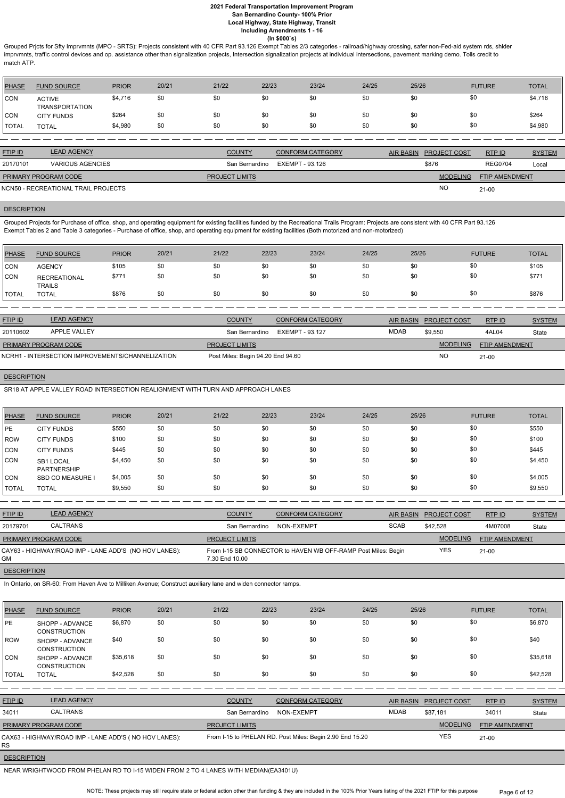Grouped Prjcts for Sfty Imprvmnts (MPO - SRTS): Projects consistent with 40 CFR Part 93.126 Exempt Tables 2/3 categories - railroad/highway crossing, safer non-Fed-aid system rds, shlder imprvmnts, traffic control devices and op. assistance other than signalization projects, Intersection signalization projects at individual intersections, pavement marking demo. Tolls credit to match ATP.

| PHASE      | <b>FUND SOURCE</b>                     | <b>PRIOR</b> | 20/21 | 21/22 | 22/23 | 23/24 | 24/25 | 25/26 | <b>FUTURE</b> | <b>TOTAL</b> |
|------------|----------------------------------------|--------------|-------|-------|-------|-------|-------|-------|---------------|--------------|
| <b>CON</b> | <b>ACTIVE</b><br><b>TRANSPORTATION</b> | \$4,716      | \$0   | \$0   | \$0   | \$0   | \$0   | \$0   | \$0           | \$4,716      |
| <b>CON</b> | <b>CITY FUNDS</b>                      | \$264        | \$0   | \$0   | \$0   | \$0   | \$0   | \$0   | \$0           | \$264        |
| 'TOTAL     | <b>TOTAL</b>                           | \$4,980      | \$0   | \$0   | \$0   | \$0   | \$0   | \$0   | \$0           | \$4,980      |

| <b>FTIP ID</b>              | <b>LEAD AGENCY</b>                  | <b>COUNTY</b>         | <b>CONFORM CATEGORY</b> | AIR BASIN PROJECT COST | RTPID                 | <b>SYSTEM</b> |
|-----------------------------|-------------------------------------|-----------------------|-------------------------|------------------------|-----------------------|---------------|
| 20170101                    | VARIOUS AGENCIES                    | San Bernardino        | EXEMPT - 93.126         | \$876                  | <b>REG0704</b>        | Local         |
| <b>PRIMARY PROGRAM CODE</b> |                                     | <b>PROJECT LIMITS</b> |                         | <b>MODELING</b>        | <b>FTIP AMENDMENT</b> |               |
|                             | NCN50 - RECREATIONAL TRAIL PROJECTS |                       |                         | <b>NO</b>              | $21-00$               |               |

#### **DESCRIPTION**

Grouped Projects for Purchase of office, shop, and operating equipment for existing facilities funded by the Recreational Trails Program: Projects are consistent with 40 CFR Part 93.126 Exempt Tables 2 and Table 3 categories - Purchase of office, shop, and operating equipment for existing facilities (Both motorized and non-motorized)

| <b>PHASE</b> | <b>FUND SOURCE</b>                   | <b>PRIOR</b> | 20/21 | 21/22 | 22/23 | 23/24 | 24/25 | 25/26 | <b>FUTURE</b> | <b>TOTAL</b> |
|--------------|--------------------------------------|--------------|-------|-------|-------|-------|-------|-------|---------------|--------------|
| <b>CON</b>   | <b>AGENCY</b>                        | \$105        | \$0   | \$0   | \$0   | \$0   | \$0   | \$0   | \$0           | \$105        |
| <b>CON</b>   | <b>RECREATIONAL</b><br><b>TRAILS</b> | \$771        | \$0   | \$0   | \$0   | \$0   | \$0   | \$0   | \$0           | \$771        |
| <b>TOTAL</b> | <b>TOTAL</b>                         | \$876        | \$0   | \$0   | \$0   | \$0   | \$0   | \$0   | \$0           | \$876        |

| <b>FTIP ID</b>              | <b>LEAD AGENCY</b>                               | <b>COUNTY</b>                     | <b>CONFORM CATEGORY</b> |      | AIR BASIN PROJECT COST | RTPID          | <b>SYSTEM</b> |
|-----------------------------|--------------------------------------------------|-----------------------------------|-------------------------|------|------------------------|----------------|---------------|
| 20110602                    | APPLE VALLEY                                     | San Bernardino                    | EXEMPT - 93.127         | MDAB | \$9.550                | 4AL04          | State         |
| <b>PRIMARY PROGRAM CODE</b> |                                                  | <b>PROJECT LIMITS</b>             |                         |      | <b>MODELING</b>        | FTIP AMENDMENT |               |
|                             | NCRH1 - INTERSECTION IMPROVEMENTS/CHANNELIZATION | Post Miles: Begin 94.20 End 94.60 |                         |      | <b>NC</b>              | $21-00$        |               |

## **DESCRIPTION**

SR18 AT APPLE VALLEY ROAD INTERSECTION REALIGNMENT WITH TURN AND APPROACH LANES

| PHASE   | <b>FUND SOURCE</b>              | <b>PRIOR</b> | 20/21 | 21/22 | 22/23 | 23/24 | 24/25 | 25/26 | <b>FUTURE</b> | <b>TOTAL</b> |
|---------|---------------------------------|--------------|-------|-------|-------|-------|-------|-------|---------------|--------------|
| IPE.    | <b>CITY FUNDS</b>               | \$550        | \$0   | \$0   | \$0   | \$0   | \$0   | \$0   | \$0           | \$550        |
| l ROW   | <b>CITY FUNDS</b>               | \$100        | \$0   | \$0   | \$0   | \$0   | \$0   | \$0   | \$0           | \$100        |
| CON     | <b>CITY FUNDS</b>               | \$445        | \$0   | \$0   | \$0   | \$0   | \$0   | \$0   | \$0           | \$445        |
| CON     | <b>SB1 LOCAL</b><br>PARTNERSHIP | \$4,450      | \$0   | \$0   | \$0   | \$0   | \$0   | \$0   | \$0           | \$4,450      |
| CON     | <b>SBD CO MEASURE</b>           | \$4,005      | \$0   | \$0   | \$0   | \$0   | \$0   | \$0   | \$0           | \$4,005      |
| I TOTAL | <b>TOTAL</b>                    | \$9,550      | \$0   | \$0   | \$0   | \$0   | \$0   | \$0   | \$0           | \$9,550      |

| <b>FTIP ID</b>       | <b>LEAD AGENCY</b>                                    | <b>COUNTY</b>         | <b>CONFORM CATEGORY</b>                                       | AIR BASIN   | <b>PROJECT COST</b> | RTP ID                | <b>SYSTEM</b> |
|----------------------|-------------------------------------------------------|-----------------------|---------------------------------------------------------------|-------------|---------------------|-----------------------|---------------|
| 20179701             | CALTRANS                                              | San Bernardino        | NON-EXEMPT                                                    | <b>SCAB</b> | \$42,528            | 4M07008               | State         |
| PRIMARY PROGRAM CODE |                                                       | <b>PROJECT LIMITS</b> |                                                               |             | <b>MODELING</b>     | <b>FTIP AMENDMENT</b> |               |
| GМ                   | CAY63 - HIGHWAY/ROAD IMP - LANE ADD'S (NO HOV LANES): | 7.30 End 10.00        | From I-15 SB CONNECTOR to HAVEN WB OFF-RAMP Post Miles: Begin |             | <b>YES</b>          | $21 - 00$             |               |
| <b>DESCRIPTION</b>   |                                                       |                       |                                                               |             |                     |                       |               |

In Ontario, on SR-60: From Haven Ave to Milliken Avenue; Construct auxiliary lane and widen connector ramps.

| PHASE              | <b>FUND SOURCE</b>                                     | <b>PRIOR</b> | 20/21 | 21/22                 | 22/23      | 23/24                                                    | 24/25 | 25/26            |                     | <b>FUTURE</b>  | <b>TOTAL</b>  |
|--------------------|--------------------------------------------------------|--------------|-------|-----------------------|------------|----------------------------------------------------------|-------|------------------|---------------------|----------------|---------------|
| PE                 | SHOPP - ADVANCE<br><b>CONSTRUCTION</b>                 | \$6,870      | \$0   | \$0                   | \$0        | \$0                                                      | \$0   | \$0              |                     | \$0            | \$6,870       |
| ROW                | SHOPP - ADVANCE<br><b>CONSTRUCTION</b>                 | \$40         | \$0   | \$0                   | \$0        | \$0                                                      | \$0   | \$0              |                     | \$0            | \$40          |
| CON                | SHOPP - ADVANCE<br><b>CONSTRUCTION</b>                 | \$35,618     | \$0   | \$0                   | \$0        | \$0                                                      | \$0   | \$0              |                     | \$0            | \$35,618      |
| <b>TOTAL</b>       | TOTAL                                                  | \$42,528     | \$0   | \$0                   | \$0        | \$0                                                      | \$0   | \$0              |                     | \$0            | \$42,528      |
|                    |                                                        |              |       |                       |            |                                                          |       |                  |                     |                |               |
| <b>FTIP ID</b>     | <b>LEAD AGENCY</b>                                     |              |       | <b>COUNTY</b>         |            | <b>CONFORM CATEGORY</b>                                  |       | <b>AIR BASIN</b> | <b>PROJECT COST</b> | RTP ID         | <b>SYSTEM</b> |
| 34011              | <b>CALTRANS</b>                                        |              |       | San Bernardino        | NON-EXEMPT |                                                          | MDAB  |                  | \$87,181            | 34011          | State         |
|                    | PRIMARY PROGRAM CODE                                   |              |       | <b>PROJECT LIMITS</b> |            |                                                          |       |                  | <b>MODELING</b>     | FTIP AMENDMENT |               |
| RS.                | CAX63 - HIGHWAY/ROAD IMP - LANE ADD'S ( NO HOV LANES): |              |       |                       |            | From I-15 to PHELAN RD. Post Miles: Begin 2.90 End 15.20 |       |                  | <b>YES</b>          | $21 - 00$      |               |
| <b>DESCRIPTION</b> |                                                        |              |       |                       |            |                                                          |       |                  |                     |                |               |

NEAR WRIGHTWOOD FROM PHELAN RD TO I-15 WIDEN FROM 2 TO 4 LANES WITH MEDIAN(EA3401U)

NOTE: These projects may still require state or federal action other than funding & they are included in the 100% Prior Years listing of the 2021 FTIP for this purpose Page 6 of 12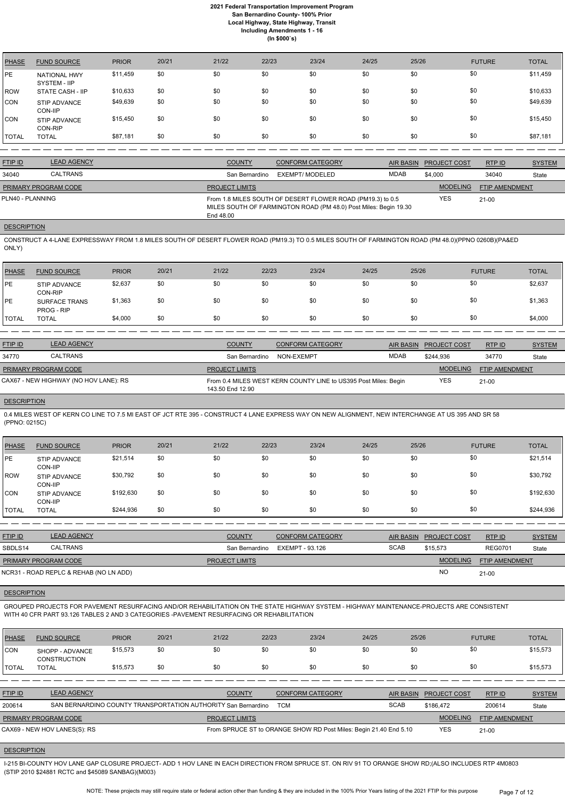| <b>PHASE</b> | <b>FUND SOURCE</b>                  | <b>PRIOR</b> | 20/21 | 21/22 | 22/23 | 23/24 | 24/25 | 25/26 | <b>FUTURE</b> | <b>TOTAL</b> |
|--------------|-------------------------------------|--------------|-------|-------|-------|-------|-------|-------|---------------|--------------|
| <b>PE</b>    | <b>NATIONAL HWY</b><br>SYSTEM - IIP | \$11,459     | \$0   | \$0   | \$0   | \$0   | \$0   | \$0   | \$0           | \$11,459     |
| <b>ROW</b>   | STATE CASH - IIP                    | \$10,633     | \$0   | \$0   | \$0   | \$0   | \$0   | \$0   | \$0           | \$10,633     |
| <b>CON</b>   | <b>STIP ADVANCE</b><br>CON-IIP      | \$49,639     | \$0   | \$0   | \$0   | \$0   | \$0   | \$0   | \$0           | \$49,639     |
| <b>CON</b>   | <b>STIP ADVANCE</b><br>CON-RIP      | \$15,450     | \$0   | \$0   | \$0   | \$0   | \$0   | \$0   | \$0           | \$15,450     |
| <b>TOTAL</b> | <b>TOTAL</b>                        | \$87,181     | \$0   | \$0   | \$0   | \$0   | \$0   | \$0   | \$0           | \$87,181     |

| <b>FTIP ID</b>              | <b>LEAD AGENCY</b> | <b>COUNTY</b>         | <b>CONFORM CATEGORY</b>                                                                                                        | AIR BASIN | <b>PROJECT COST</b> | RTPID                 | <b>SYSTEM</b> |
|-----------------------------|--------------------|-----------------------|--------------------------------------------------------------------------------------------------------------------------------|-----------|---------------------|-----------------------|---------------|
| 34040                       | CALTRANS           | San Bernardino        | EXEMPT/ MODELED                                                                                                                | MDAB      | \$4,000             | 34040                 | State         |
| <b>PRIMARY PROGRAM CODE</b> |                    | <b>PROJECT LIMITS</b> |                                                                                                                                |           | <b>MODELING</b>     | <b>FTIP AMENDMENT</b> |               |
| PLN40 - PLANNING            |                    | End 48.00             | From 1.8 MILES SOUTH OF DESERT FLOWER ROAD (PM19.3) to 0.5<br>MILES SOUTH OF FARMINGTON ROAD (PM 48.0) Post Miles: Begin 19.30 |           | YES                 | $21-00$               |               |
|                             |                    |                       |                                                                                                                                |           |                     |                       |               |

#### **DESCRIPTION**

CONSTRUCT A 4-LANE EXPRESSWAY FROM 1.8 MILES SOUTH OF DESERT FLOWER ROAD (PM19.3) TO 0.5 MILES SOUTH OF FARMINGTON ROAD (PM 48.0)(PPNO 0260B)(PA&ED ONLY)

| <b>PHASE</b> | <b>FUND SOURCE</b>                 | <b>PRIOR</b> | 20/21 | 21/22 | 22/23 | 23/24 | 24/25 | 25/26 | <b>FUTURE</b> | <b>TOTAL</b> |
|--------------|------------------------------------|--------------|-------|-------|-------|-------|-------|-------|---------------|--------------|
| <b>PE</b>    | STIP ADVANCE<br>CON-RIP            | \$2,637      | \$0   | \$0   | \$0   | \$0   | \$0   | \$0   | \$0           | \$2,637      |
| <b>PE</b>    | <b>SURFACE TRANS</b><br>PROG - RIP | \$1,363      | \$0   | \$0   | \$0   | \$0   | \$0   | \$0   | \$0           | \$1,363      |
| <b>TOTAL</b> | <b>TOTAL</b>                       | \$4,000      | \$0   | \$0   | \$0   | \$0   | \$0   | \$0   | \$0           | \$4,000      |

| <b>FTIP ID</b>       | <b>LEAD AGENCY</b>                    | <b>COUNTY</b>         | CONFORM CATEGORY                                                |      | AIR BASIN PROJECT COST | RTPID                 | <b>SYSTEM</b> |
|----------------------|---------------------------------------|-----------------------|-----------------------------------------------------------------|------|------------------------|-----------------------|---------------|
| 34770                | <b>CALTRANS</b>                       | San Bernardino        | NON-EXEMPT                                                      | MDAB | \$244.936              | 34770                 | State         |
| PRIMARY PROGRAM CODE |                                       | <b>PROJECT LIMITS</b> |                                                                 |      | <b>MODELING</b>        | <b>FTIP AMENDMENT</b> |               |
|                      | CAX67 - NEW HIGHWAY (NO HOV LANE): RS | 143.50 End 12.90      | From 0.4 MILES WEST KERN COUNTY LINE to US395 Post Miles: Begin |      | <b>YES</b>             | 21-00                 |               |

#### **DESCRIPTION**

0.4 MILES WEST OF KERN CO LINE TO 7.5 MI EAST OF JCT RTE 395 - CONSTRUCT 4 LANE EXPRESS WAY ON NEW ALIGNMENT, NEW INTERCHANGE AT US 395 AND SR 58 (PPNO: 0215C)

| PHASE        | <b>FUND SOURCE</b>             | <b>PRIOR</b> | 20/21 | 21/22 | 22/23 | 23/24 | 24/25 | 25/26 | <b>FUTURE</b> | <b>TOTAL</b> |
|--------------|--------------------------------|--------------|-------|-------|-------|-------|-------|-------|---------------|--------------|
| IPE.         | <b>STIP ADVANCE</b><br>CON-IIP | \$21,514     | \$0   | \$0   | \$0   | \$0   | \$0   | \$0   | \$0           | \$21,514     |
| ROW          | <b>STIP ADVANCE</b><br>CON-IIP | \$30,792     | \$0   | \$0   | \$0   | \$0   | \$0   | \$0   | \$0           | \$30,792     |
| ICON.        | STIP ADVANCE<br>CON-IIP        | \$192,630    | \$0   | \$0   | \$0   | \$0   | \$0   | \$0   | \$0           | \$192,630    |
| <b>TOTAL</b> | <b>TOTAL</b>                   | \$244,936    | \$0   | \$0   | \$0   | \$0   | \$0   | \$0   | \$0           | \$244,936    |

| <b>FTIP ID</b>              | <b>LEAD AGENCY</b>                     | <b>COUNTY</b>         | <b>CONFORM CATEGORY</b> |             | AIR BASIN PROJECT COST | RTPID                 | <b>SYSTEM</b> |
|-----------------------------|----------------------------------------|-----------------------|-------------------------|-------------|------------------------|-----------------------|---------------|
| SBDLS14                     | <b>CALTRANS</b>                        | San Bernardino        | EXEMPT - 93.126         | <b>SCAB</b> | \$15,573               | <b>REG0701</b>        | <b>State</b>  |
| <b>PRIMARY PROGRAM CODE</b> |                                        | <b>PROJECT LIMITS</b> |                         |             | <b>MODELING</b>        | <b>FTIP AMENDMENT</b> |               |
|                             | NCR31 - ROAD REPLC & REHAB (NO LN ADD) |                       |                         |             | <b>NO</b>              | $21-00$               |               |

GROUPED PROJECTS FOR PAVEMENT RESURFACING AND/OR REHABILITATION ON THE STATE HIGHWAY SYSTEM - HIGHWAY MAINTENANCE-PROJECTS ARE CONSISTENT WITH 40 CFR PART 93.126 TABLES 2 AND 3 CATEGORIES -PAVEMENT RESURFACING OR REHABILITATION

| <b>PHASE</b>   | <b>FUND SOURCE</b>                                            | <b>PRIOR</b> | 20/21 | 21/22                 | 22/23      | 23/24                                                             | 24/25            | 25/26               | <b>FUTURE</b>         | <b>TOTAL</b>  |
|----------------|---------------------------------------------------------------|--------------|-------|-----------------------|------------|-------------------------------------------------------------------|------------------|---------------------|-----------------------|---------------|
| ICON           | SHOPP - ADVANCE<br><b>CONSTRUCTION</b>                        | \$15,573     | \$0   | \$0                   | \$0        | \$0                                                               | \$0              | \$0                 | \$0                   | \$15,573      |
| <b>ITOTAL</b>  | <b>TOTAL</b>                                                  | \$15,573     | \$0   | \$0                   | \$0        | \$0                                                               | \$0              | \$0                 | \$0                   | \$15,573      |
|                |                                                               |              |       |                       |            |                                                                   |                  |                     |                       |               |
| <b>FTIP ID</b> | <b>LEAD AGENCY</b>                                            |              |       | <b>COUNTY</b>         |            | <b>CONFORM CATEGORY</b>                                           | <b>AIR BASIN</b> | <b>PROJECT COST</b> | RTPID                 | <b>SYSTEM</b> |
| 200614         | SAN BERNARDINO COUNTY TRANSPORTATION AUTHORITY San Bernardino |              |       |                       | <b>TCM</b> |                                                                   | <b>SCAB</b>      | \$186.472           | 200614                | State         |
|                | PRIMARY PROGRAM CODE                                          |              |       | <b>PROJECT LIMITS</b> |            |                                                                   |                  | <b>MODELING</b>     | <b>FTIP AMENDMENT</b> |               |
|                | CAX69 - NEW HOV LANES(S): RS                                  |              |       |                       |            | From SPRUCE ST to ORANGE SHOW RD Post Miles: Begin 21.40 End 5.10 |                  | <b>YES</b>          | $21 - 00$             |               |
|                |                                                               |              |       |                       |            |                                                                   |                  |                     |                       |               |

#### **DESCRIPTION**

I-215 BI-COUNTY HOV LANE GAP CLOSURE PROJECT- ADD 1 HOV LANE IN EACH DIRECTION FROM SPRUCE ST. ON RIV 91 TO ORANGE SHOW RD;(ALSO INCLUDES RTP 4M0803 (STIP 2010 \$24881 RCTC and \$45089 SANBAG)(M003)

> NOTE: These projects may still require state or federal action other than funding & they are included in the 100% Prior Years listing of the 2021 FTIP for this purpose Page 7 of 12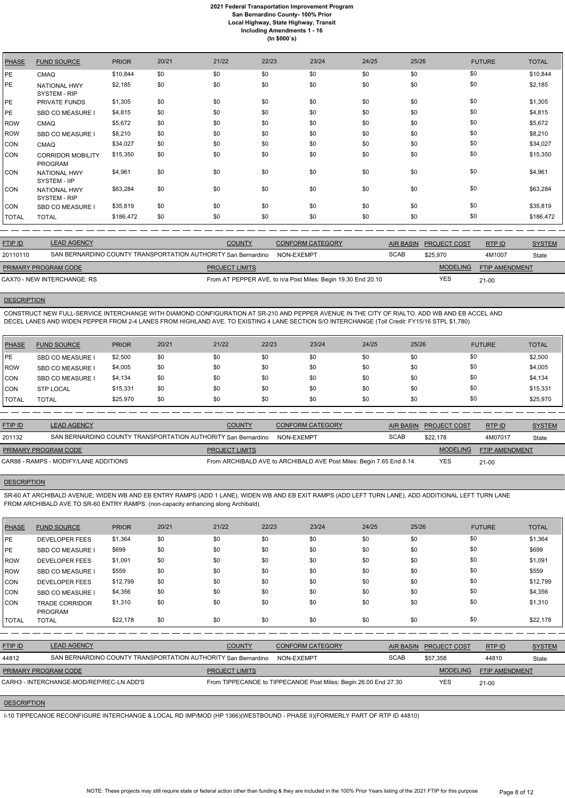| <b>PHASE</b> | <b>FUND SOURCE</b>                         | <b>PRIOR</b> | 20/21 | 21/22 | 22/23 | 23/24 | 24/25 | 25/26 | <b>FUTURE</b> | <b>TOTAL</b> |
|--------------|--------------------------------------------|--------------|-------|-------|-------|-------|-------|-------|---------------|--------------|
| PE           | <b>CMAQ</b>                                | \$10,844     | \$0   | \$0   | \$0   | \$0   | \$0   | \$0   | \$0           | \$10,844     |
| PE           | <b>NATIONAL HWY</b><br><b>SYSTEM - RIP</b> | \$2,185      | \$0   | \$0   | \$0   | \$0   | \$0   | \$0   | \$0           | \$2,185      |
| PE           | <b>PRIVATE FUNDS</b>                       | \$1,305      | \$0   | \$0   | \$0   | \$0   | \$0   | \$0   | \$0           | \$1,305      |
| PE           | SBD CO MEASURE I                           | \$4,815      | \$0   | \$0   | \$0   | \$0   | \$0   | \$0   | \$0           | \$4,815      |
| <b>ROW</b>   | <b>CMAQ</b>                                | \$5,672      | \$0   | \$0   | \$0   | \$0   | \$0   | \$0   | \$0           | \$5,672      |
| <b>ROW</b>   | <b>SBD CO MEASURE I</b>                    | \$8,210      | \$0   | \$0   | \$0   | \$0   | \$0   | \$0   | \$0           | \$8,210      |
| CON          | <b>CMAQ</b>                                | \$34,027     | \$0   | \$0   | \$0   | \$0   | \$0   | \$0   | \$0           | \$34,027     |
| <b>CON</b>   | <b>CORRIDOR MOBILITY</b><br><b>PROGRAM</b> | \$15,350     | \$0   | \$0   | \$0   | \$0   | \$0   | \$0   | \$0           | \$15,350     |
| <b>CON</b>   | <b>NATIONAL HWY</b><br>SYSTEM - IIP        | \$4,961      | \$0   | \$0   | \$0   | \$0   | \$0   | \$0   | \$0           | \$4,961      |
| <b>CON</b>   | <b>NATIONAL HWY</b><br>SYSTEM - RIP        | \$63,284     | \$0   | \$0   | \$0   | \$0   | \$0   | \$0   | \$0           | \$63,284     |
| <b>CON</b>   | SBD CO MEASURE I                           | \$35,819     | \$0   | \$0   | \$0   | \$0   | \$0   | \$0   | \$0           | \$35,819     |
| <b>TOTAL</b> | <b>TOTAL</b>                               | \$186,472    | \$0   | \$0   | \$0   | \$0   | \$0   | \$0   | \$0           | \$186,472    |

| <b>FTIP ID</b>              | <b>LEAD AGENCY</b>                                            | <b>COUNTY</b>         | <b>CONFORM CATEGORY</b>                                      | AIR BASIN   | <b>PROJECT COST</b> | RTP ID                | <b>SYSTEM</b> |
|-----------------------------|---------------------------------------------------------------|-----------------------|--------------------------------------------------------------|-------------|---------------------|-----------------------|---------------|
| 20110110                    | SAN BERNARDINO COUNTY TRANSPORTATION AUTHORITY San Bernardino |                       | NON-EXEMPT                                                   | <b>SCAB</b> | \$25,970            | 4M1007                | State         |
| <b>PRIMARY PROGRAM CODE</b> |                                                               | <b>PROJECT LIMITS</b> |                                                              |             | <b>MODELING</b>     | <b>FTIP AMENDMENT</b> |               |
|                             | CAX70 - NEW INTERCHANGE: RS                                   |                       | From AT PEPPER AVE. to n/a Post Miles: Begin 19.30 End 20.10 |             | YES                 | $21-00$               |               |

# **DESCRIPTION**

CONSTRUCT NEW FULL-SERVICE INTERCHANGE WITH DIAMOND CONFIGURATION AT SR-210 AND PEPPER AVENUE IN THE CITY OF RIALTO. ADD WB AND EB ACCEL AND DECEL LANES AND WIDEN PEPPER FROM 2-4 LANES FROM HIGHLAND AVE. TO EXISTING 4 LANE SECTION S/O INTERCHANGE (Toll Credit: FY15/16 STPL \$1,780)

| <b>PHASE</b> | <b>FUND SOURCE</b>      | <b>PRIOR</b> | 20/21 | 21/22 | 22/23 | 23/24 | 24/25 | 25/26 | <b>FUTURE</b> | <b>TOTAL</b> |
|--------------|-------------------------|--------------|-------|-------|-------|-------|-------|-------|---------------|--------------|
| <b>IPE</b>   | <b>SBD CO MEASURE I</b> | \$2,500      | \$0   | \$0   | \$0   | \$0   | \$0   | \$0   | \$0           | \$2,500      |
| ROW          | <b>SBD CO MEASURE</b>   | \$4,005      | \$0   | \$0   | \$0   | \$0   | \$0   | \$0   | \$0           | \$4,005      |
| <b>CON</b>   | <b>SBD CO MEASURE</b>   | \$4,134      | \$0   | \$0   | \$0   | \$0   | \$0   | \$0   | \$0           | \$4,134      |
| <b>CON</b>   | <b>STP LOCAL</b>        | \$15,331     | \$0   | \$0   | \$0   | \$0   | \$0   | \$0   | \$0           | \$15,331     |
| <b>TOTAL</b> | <b>TOTAL</b>            | \$25,970     | \$0   | \$0   | \$0   | \$0   | \$0   | \$0   | \$0           | \$25,970     |

| <b>FTIP ID</b>              | <b>LEAD AGENCY</b>                                            | <b>COUNTY</b>         | <b>CONFORM CATEGORY</b>                                             |             | AIR BASIN PROJECT COST | RTPID                 | <b>SYSTEM</b> |
|-----------------------------|---------------------------------------------------------------|-----------------------|---------------------------------------------------------------------|-------------|------------------------|-----------------------|---------------|
| 201132                      | SAN BERNARDINO COUNTY TRANSPORTATION AUTHORITY San Bernardino |                       | NON-EXEMPT                                                          | <b>SCAB</b> | \$22.178               | 4M07017               | State         |
| <b>PRIMARY PROGRAM CODE</b> |                                                               | <b>PROJECT LIMITS</b> |                                                                     |             | <b>MODELING</b>        | <b>FTIP AMENDMENT</b> |               |
|                             | CAR88 - RAMPS - MODIFY/LANE ADDITIONS                         |                       | From ARCHIBALD AVE to ARCHIBALD AVE Post Miles: Begin 7.65 End 8.14 |             | <b>YES</b>             | $21 - 00$             |               |

# **DESCRIPTION**

SR-60 AT ARCHIBALD AVENUE; WIDEN WB AND EB ENTRY RAMPS (ADD 1 LANE), WIDEN WB AND EB EXIT RAMPS (ADD LEFT TURN LANE), ADD ADDITIONAL LEFT TURN LANE FROM ARCHIBALD AVE TO SR-60 ENTRY RAMPS. (non-capacity enhancing along Archibald).

| <b>PHASE</b>   | <b>FUND SOURCE</b>                                            | <b>PRIOR</b> | 20/21 | 21/22                 | 22/23                                                           | 23/24                   | 24/25 | 25/26            |                     | <b>FUTURE</b>         | <b>TOTAL</b>  |
|----------------|---------------------------------------------------------------|--------------|-------|-----------------------|-----------------------------------------------------------------|-------------------------|-------|------------------|---------------------|-----------------------|---------------|
| PE             | <b>DEVELOPER FEES</b>                                         | \$1,364      | \$0   | \$0                   | \$0                                                             | \$0                     | \$0   | \$0              | \$0                 |                       | \$1,364       |
| PE             | SBD CO MEASURE I                                              | \$699        | \$0   | \$0                   | \$0                                                             | \$0                     | \$0   | \$0              | \$0                 |                       | \$699         |
| ROW            | <b>DEVELOPER FEES</b>                                         | \$1,091      | \$0   | \$0                   | \$0                                                             | \$0                     | \$0   | \$0              | \$0                 |                       | \$1,091       |
| ROW            | SBD CO MEASURE I                                              | \$559        | \$0   | \$0                   | \$0                                                             | \$0                     | \$0   | \$0              | \$0                 |                       | \$559         |
| <b>CON</b>     | <b>DEVELOPER FEES</b>                                         | \$12,799     | \$0   | \$0                   | \$0                                                             | \$0                     | \$0   | \$0              | \$0                 |                       | \$12,799      |
| <b>CON</b>     | SBD CO MEASURE I                                              | \$4,356      | \$0   | \$0                   | \$0                                                             | \$0                     | \$0   | \$0              | \$0                 |                       | \$4,356       |
| <b>CON</b>     | <b>TRADE CORRIDOR</b><br><b>PROGRAM</b>                       | \$1,310      | \$0   | \$0                   | \$0                                                             | \$0                     | \$0   | \$0              | \$0                 |                       | \$1,310       |
| <b>TOTAL</b>   | <b>TOTAL</b>                                                  | \$22,178     | \$0   | \$0                   | \$0                                                             | \$0                     | \$0   | \$0              | \$0                 |                       | \$22,178      |
|                |                                                               |              |       |                       |                                                                 |                         |       |                  |                     |                       |               |
| <b>FTIP ID</b> | <b>LEAD AGENCY</b>                                            |              |       | <b>COUNTY</b>         |                                                                 | <b>CONFORM CATEGORY</b> |       | <b>AIR BASIN</b> | <b>PROJECT COST</b> | RTPID                 | <b>SYSTEM</b> |
| 44812          | SAN BERNARDINO COUNTY TRANSPORTATION AUTHORITY San Bernardino |              |       |                       |                                                                 | NON-EXEMPT              |       | <b>SCAB</b>      | \$57,358            | 44810                 | State         |
|                | PRIMARY PROGRAM CODE                                          |              |       | <b>PROJECT LIMITS</b> |                                                                 |                         |       |                  | <b>MODELING</b>     | <b>FTIP AMENDMENT</b> |               |
|                | CARH3 - INTERCHANGE-MOD/REP/REC-LN ADD'S                      |              |       |                       | From TIPPECANOE to TIPPECANOE Post Miles: Begin 26.00 End 27.30 |                         |       |                  | <b>YES</b>          | $21 - 00$             |               |

**DESCRIPTION** 

I-10 TIPPECANOE RECONFIGURE INTERCHANGE & LOCAL RD IMP/MOD (HP 1366)(WESTBOUND - PHASE II)(FORMERLY PART OF RTP ID 44810)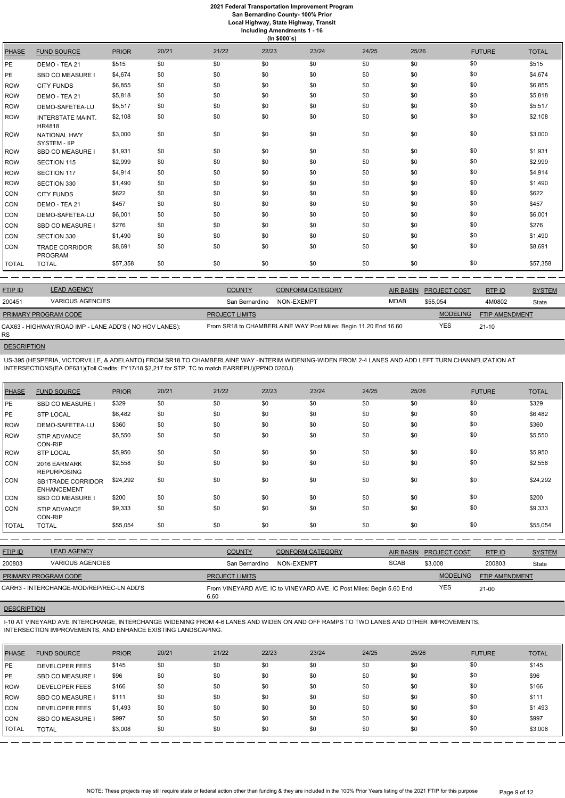# **2021 Federal Transportation Improvement Program**

**San Bernardino County- 100% Prior**

**Local Highway, State Highway, Transit Including Amendments 1 - 16**

|              | (ln \$000's)                            |              |       |       |       |       |       |       |               |              |  |  |
|--------------|-----------------------------------------|--------------|-------|-------|-------|-------|-------|-------|---------------|--------------|--|--|
| <b>PHASE</b> | <b>FUND SOURCE</b>                      | <b>PRIOR</b> | 20/21 | 21/22 | 22/23 | 23/24 | 24/25 | 25/26 | <b>FUTURE</b> | <b>TOTAL</b> |  |  |
| PE.          | DEMO - TEA 21                           | \$515        | \$0   | \$0   | \$0   | \$0   | \$0   | \$0   | \$0           | \$515        |  |  |
| PE.          | <b>SBD CO MEASURE I</b>                 | \$4,674      | \$0   | \$0   | \$0   | \$0   | \$0   | \$0   | \$0           | \$4,674      |  |  |
| ROW          | <b>CITY FUNDS</b>                       | \$6,855      | \$0   | \$0   | \$0   | \$0   | \$0   | \$0   | \$0           | \$6,855      |  |  |
| ROW          | DEMO - TEA 21                           | \$5,818      | \$0   | \$0   | \$0   | \$0   | \$0   | \$0   | \$0           | \$5,818      |  |  |
| ROW          | DEMO-SAFETEA-LU                         | \$5,517      | \$0   | \$0   | \$0   | \$0   | \$0   | \$0   | \$0           | \$5,517      |  |  |
| ROW          | <b>INTERSTATE MAINT.</b><br>HR4818      | \$2,108      | \$0   | \$0   | \$0   | \$0   | \$0   | \$0   | \$0           | \$2,108      |  |  |
| ROW          | <b>NATIONAL HWY</b><br>SYSTEM - IIP     | \$3,000      | \$0   | \$0   | \$0   | \$0   | \$0   | \$0   | \$0           | \$3,000      |  |  |
| ROW          | <b>SBD CO MEASURE I</b>                 | \$1,931      | \$0   | \$0   | \$0   | \$0   | \$0   | \$0   | \$0           | \$1,931      |  |  |
| ROW          | SECTION 115                             | \$2,999      | \$0   | \$0   | \$0   | \$0   | \$0   | \$0   | \$0           | \$2,999      |  |  |
| ROW          | SECTION 117                             | \$4,914      | \$0   | \$0   | \$0   | \$0   | \$0   | \$0   | \$0           | \$4,914      |  |  |
| ROW          | SECTION 330                             | \$1,490      | \$0   | \$0   | \$0   | \$0   | \$0   | \$0   | \$0           | \$1,490      |  |  |
| CON          | <b>CITY FUNDS</b>                       | \$622        | \$0   | \$0   | \$0   | \$0   | \$0   | \$0   | \$0           | \$622        |  |  |
| CON          | DEMO - TEA 21                           | \$457        | \$0   | \$0   | \$0   | \$0   | \$0   | \$0   | \$0           | \$457        |  |  |
| CON          | DEMO-SAFETEA-LU                         | \$6,001      | \$0   | \$0   | \$0   | \$0   | \$0   | \$0   | \$0           | \$6,001      |  |  |
| CON          | <b>SBD CO MEASURE I</b>                 | \$276        | \$0   | \$0   | \$0   | \$0   | \$0   | \$0   | \$0           | \$276        |  |  |
| CON          | SECTION 330                             | \$1,490      | \$0   | \$0   | \$0   | \$0   | \$0   | \$0   | \$0           | \$1,490      |  |  |
| CON          | <b>TRADE CORRIDOR</b><br><b>PROGRAM</b> | \$8,691      | \$0   | \$0   | \$0   | \$0   | \$0   | \$0   | \$0           | \$8,691      |  |  |
| TOTAL        | <b>TOTAL</b>                            | \$57,358     | \$0   | \$0   | \$0   | \$0   | \$0   | \$0   | \$0           | \$57,358     |  |  |

| <b>FTIP ID</b>       | <b>LEAD AGENCY</b>                                    | <b>COUNTY</b>         | <b>CONFORM CATEGORY</b>                                         |      | AIR BASIN PROJECT COST | RTP ID         | <b>SYSTEM</b> |
|----------------------|-------------------------------------------------------|-----------------------|-----------------------------------------------------------------|------|------------------------|----------------|---------------|
| 200451               | <b>VARIOUS AGENCIES</b>                               | San Bernardino        | NON-EXEMPT                                                      | MDAB | \$55.054               | 4M0802         | State         |
| PRIMARY PROGRAM CODE |                                                       | <b>PROJECT LIMITS</b> |                                                                 |      | <b>MODELING</b>        | FTIP AMENDMENT |               |
| RS.                  | CAX63 - HIGHWAY/ROAD IMP - LANE ADD'S (NO HOV LANES): |                       | From SR18 to CHAMBERLAINE WAY Post Miles: Begin 11.20 End 16.60 |      | YES                    | $21 - 10$      |               |

# **DESCRIPTION**

US-395 (HESPERIA, VICTORVILLE, & ADELANTO) FROM SR18 TO CHAMBERLAINE WAY -INTERIM WIDENING-WIDEN FROM 2-4 LANES AND ADD LEFT TURN CHANNELIZATION AT INTERSECTIONS(EA OF631)(Toll Credits: FY17/18 \$2,217 for STP, TC to match EARREPU)(PPNO 0260J)

| <b>PHASE</b> | <b>FUND SOURCE</b>                             | <b>PRIOR</b> | 20/21 | 21/22 | 22/23 | 23/24 | 24/25 | 25/26 | <b>FUTURE</b> | <b>TOTAL</b> |
|--------------|------------------------------------------------|--------------|-------|-------|-------|-------|-------|-------|---------------|--------------|
| <b>PE</b>    | SBD CO MEASURE I                               | \$329        | \$0   | \$0   | \$0   | \$0   | \$0   | \$0   | \$0           | \$329        |
| <b>PE</b>    | <b>STP LOCAL</b>                               | \$6,482      | \$0   | \$0   | \$0   | \$0   | \$0   | \$0   | \$0           | \$6,482      |
| <b>ROW</b>   | DEMO-SAFETEA-LU                                | \$360        | \$0   | \$0   | \$0   | \$0   | \$0   | \$0   | \$0           | \$360        |
| <b>ROW</b>   | STIP ADVANCE<br>CON-RIP                        | \$5,550      | \$0   | \$0   | \$0   | \$0   | \$0   | \$0   | \$0           | \$5,550      |
| <b>ROW</b>   | <b>STP LOCAL</b>                               | \$5,950      | \$0   | \$0   | \$0   | \$0   | \$0   | \$0   | \$0           | \$5,950      |
| <b>CON</b>   | 2016 EARMARK<br><b>REPURPOSING</b>             | \$2,558      | \$0   | \$0   | \$0   | \$0   | \$0   | \$0   | \$0           | \$2,558      |
| <b>CON</b>   | <b>SB1TRADE CORRIDOR</b><br><b>ENHANCEMENT</b> | \$24,292     | \$0   | \$0   | \$0   | \$0   | \$0   | \$0   | \$0           | \$24,292     |
| <b>CON</b>   | <b>SBD CO MEASURE</b>                          | \$200        | \$0   | \$0   | \$0   | \$0   | \$0   | \$0   | \$0           | \$200        |
| <b>CON</b>   | <b>STIP ADVANCE</b><br>CON-RIP                 | \$9,333      | \$0   | \$0   | \$0   | \$0   | \$0   | \$0   | \$0           | \$9,333      |
| TOTAL        | <b>TOTAL</b>                                   | \$55,054     | \$0   | \$0   | \$0   | \$0   | \$0   | \$0   | \$0           | \$55,054     |
|              |                                                |              |       |       |       |       |       |       |               |              |

| <b>FTIP ID</b>              | <b>LEAD AGENCY</b>                       | <b>COUNTY</b>         | <b>CONFORM CATEGORY</b>                                              |             | AIR BASIN PROJECT COST | RTP ID                | <b>SYSTEM</b> |
|-----------------------------|------------------------------------------|-----------------------|----------------------------------------------------------------------|-------------|------------------------|-----------------------|---------------|
| 200803                      | <b>VARIOUS AGENCIES</b>                  | San Bernardino        | NON-EXEMPT                                                           | <b>SCAB</b> | \$3,008                | 200803                | State         |
| <b>PRIMARY PROGRAM CODE</b> |                                          | <b>PROJECT LIMITS</b> |                                                                      |             | <b>MODELING</b>        | <b>FTIP AMENDMENT</b> |               |
|                             | CARH3 - INTERCHANGE-MOD/REP/REC-LN ADD'S | 6.60                  | From VINEYARD AVE. IC to VINEYARD AVE. IC Post Miles: Begin 5.60 End |             | YES                    | 21-00                 |               |

## **DESCRIPTION**

I-10 AT VINEYARD AVE INTERCHANGE, INTERCHANGE WIDENING FROM 4-6 LANES AND WIDEN ON AND OFF RAMPS TO TWO LANES AND OTHER IMPROVEMENTS, INTERSECTION IMPROVEMENTS, AND ENHANCE EXISTING LANDSCAPING.

| <b>PHASE</b> | <b>FUND SOURCE</b>      | <b>PRIOR</b> | 20/21 | 21/22 | 22/23 | 23/24 | 24/25 | 25/26 | <b>FUTURE</b> | <b>TOTAL</b> |
|--------------|-------------------------|--------------|-------|-------|-------|-------|-------|-------|---------------|--------------|
| <b>IPE</b>   | <b>DEVELOPER FEES</b>   | \$145        | \$0   | \$0   | \$0   | \$0   | \$0   | \$0   | \$0           | \$145        |
| <b>IPE</b>   | <b>SBD CO MEASURE I</b> | \$96         | \$0   | \$0   | \$0   | \$0   | \$0   | \$0   | \$0           | \$96         |
| <b>ROW</b>   | <b>DEVELOPER FEES</b>   | \$166        | \$0   | \$0   | \$0   | \$0   | \$0   | \$0   | \$0           | \$166        |
| <b>IROW</b>  | <b>SBD CO MEASURE I</b> | \$111        | \$0   | \$0   | \$0   | \$0   | \$0   | \$0   | \$0           | \$111        |
| CON          | <b>DEVELOPER FEES</b>   | \$1,493      | \$0   | \$0   | \$0   | \$0   | \$0   | \$0   | \$0           | \$1,493      |
| <b>CON</b>   | SBD CO MEASURE I        | \$997        | \$0   | \$0   | \$0   | \$0   | \$0   | \$0   | \$0           | \$997        |
| TOTAL        | <b>TOTAL</b>            | \$3,008      | \$0   | \$0   | \$0   | \$0   | \$0   | \$0   | \$0           | \$3,008      |

NOTE: These projects may still require state or federal action other than funding & they are included in the 100% Prior Years listing of the 2021 FTIP for this purpose Page 9 of 12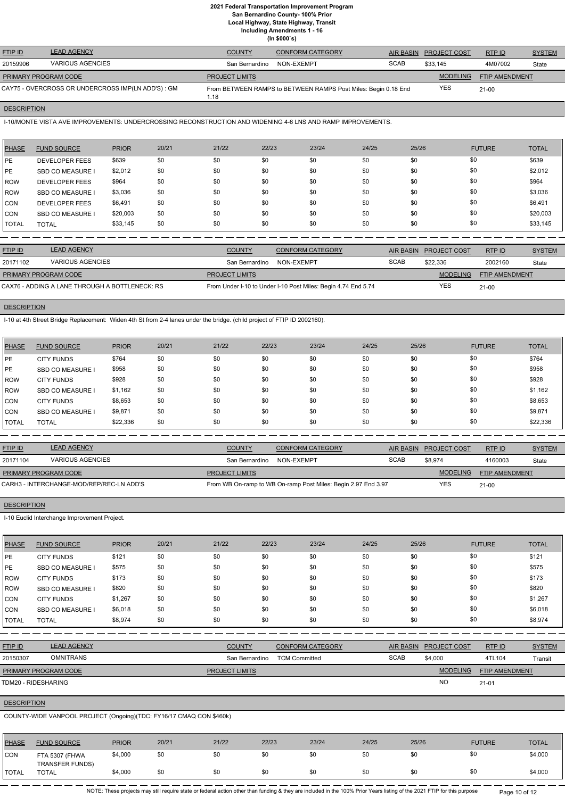**Local Highway, State Highway, Transit**

**Including Amendments 1 - 16**

**(In \$000`s)**

| <b>FTIP ID</b>       | <b>LEAD AGENCY</b>                                 | <b>COUNTY</b>         | <b>CONFORM CATEGORY</b>                                        | AIR BASIN   | <b>PROJECT COST</b> | RTPID          | <b>SYSTEM</b> |
|----------------------|----------------------------------------------------|-----------------------|----------------------------------------------------------------|-------------|---------------------|----------------|---------------|
| 20159906             | <b>VARIOUS AGENCIES</b>                            | San Bernardino        | NON-EXEMPT                                                     | <b>SCAB</b> | \$33,145            | 4M07002        | State         |
| PRIMARY PROGRAM CODE |                                                    | <b>PROJECT LIMITS</b> |                                                                |             | <b>MODELING</b>     | FTIP AMENDMENT |               |
|                      | CAY75 - OVERCROSS OR UNDERCROSS IMP(LN ADD'S) : GM | 1.18                  | From BETWEEN RAMPS to BETWEEN RAMPS Post Miles: Begin 0.18 End |             | <b>YES</b>          | $21 - 00$      |               |

## **DESCRIPTION**

I-10/MONTE VISTA AVE IMPROVEMENTS: UNDERCROSSING RECONSTRUCTION AND WIDENING 4-6 LNS AND RAMP IMPROVEMENTS.

| PHASE        | <b>FUND SOURCE</b>      | <b>PRIOR</b> | 20/21 | 21/22 | 22/23 | 23/24 | 24/25 | 25/26 | <b>FUTURE</b> | <b>TOTAL</b> |
|--------------|-------------------------|--------------|-------|-------|-------|-------|-------|-------|---------------|--------------|
| <b>IPE</b>   | <b>DEVELOPER FEES</b>   | \$639        | \$0   | \$0   | \$0   | \$0   | \$0   | \$0   | \$0           | \$639        |
| PE           | <b>SBD CO MEASURE I</b> | \$2,012      | \$0   | \$0   | \$0   | \$0   | \$0   | \$0   | \$0           | \$2,012      |
| ROW          | <b>DEVELOPER FEES</b>   | \$964        | \$0   | \$0   | \$0   | \$0   | \$0   | \$0   | \$0           | \$964        |
| ROW          | <b>SBD CO MEASURE I</b> | \$3,036      | \$0   | \$0   | \$0   | \$0   | \$0   | \$0   | \$0           | \$3,036      |
| CON          | <b>DEVELOPER FEES</b>   | \$6,491      | \$0   | \$0   | \$0   | \$0   | \$0   | \$0   | \$0           | \$6,491      |
| CON          | <b>SBD CO MEASURE I</b> | \$20,003     | \$0   | \$0   | \$0   | \$0   | \$0   | \$0   | \$0           | \$20,003     |
| <b>TOTAL</b> | <b>TOTAL</b>            | \$33,145     | \$0   | \$0   | \$0   | \$0   | \$0   | \$0   | \$0           | \$33,145     |

| <b>FTIP ID</b>                                 | <b>LEAD AGENCY</b>      | <b>COUNTY</b>         | <b>CONFORM CATEGORY</b>                                       |             | AIR BASIN PROJECT COST | RTP ID                | <b>SYSTEM</b> |
|------------------------------------------------|-------------------------|-----------------------|---------------------------------------------------------------|-------------|------------------------|-----------------------|---------------|
| 20171102                                       | <b>VARIOUS AGENCIES</b> | San Bernardino        | NON-EXEMPT                                                    | <b>SCAB</b> | \$22,336               | 2002160               | State         |
| <b>PRIMARY PROGRAM CODE</b>                    |                         | <b>PROJECT LIMITS</b> |                                                               |             | MODELING               | <b>FTIP AMENDMENT</b> |               |
| CAX76 - ADDING A LANE THROUGH A BOTTLENECK: RS |                         |                       | From Under I-10 to Under I-10 Post Miles: Begin 4.74 End 5.74 |             | <b>YES</b>             | $21-00$               |               |

# **DESCRIPTION**

I-10 at 4th Street Bridge Replacement: Widen 4th St from 2-4 lanes under the bridge. (child project of FTIP ID 2002160).

| <b>PHASE</b> | <b>FUND SOURCE</b> | <b>PRIOR</b> | 20/21 | 21/22 | 22/23 | 23/24 | 24/25 | 25/26 | <b>FUTURE</b> | <b>TOTAL</b> |
|--------------|--------------------|--------------|-------|-------|-------|-------|-------|-------|---------------|--------------|
| <b>IPE</b>   | <b>CITY FUNDS</b>  | \$764        | \$0   | \$0   | \$0   | \$0   | \$0   | \$0   | \$0           | \$764        |
| <b>IPE</b>   | SBD CO MEASURE I   | \$958        | \$0   | \$0   | \$0   | \$0   | \$0   | \$0   | \$0           | \$958        |
| ROW          | <b>CITY FUNDS</b>  | \$928        | \$0   | \$0   | \$0   | \$0   | \$0   | \$0   | \$0           | \$928        |
| ROW          | SBD CO MEASURE I   | \$1,162      | \$0   | \$0   | \$0   | \$0   | \$0   | \$0   | \$0           | \$1,162      |
| CON          | <b>CITY FUNDS</b>  | \$8,653      | \$0   | \$0   | \$0   | \$0   | \$0   | \$0   | \$0           | \$8,653      |
| <b>CON</b>   | SBD CO MEASURE I   | \$9,871      | \$0   | \$0   | \$0   | \$0   | \$0   | \$0   | \$0           | \$9,871      |
| <b>TOTAL</b> | <b>TOTAL</b>       | \$22,336     | \$0   | \$0   | \$0   | \$0   | \$0   | \$0   | \$0           | \$22,336     |

| <b>FTIP ID</b>              | <b>LEAD AGENCY</b>                       | <b>COUNTY</b>         | CONFORM CATEGORY                                              |             | AIR BASIN PROJECT COST | RTP ID                | <b>SYSTEM</b> |
|-----------------------------|------------------------------------------|-----------------------|---------------------------------------------------------------|-------------|------------------------|-----------------------|---------------|
| 20171104                    | VARIOUS AGENCIES                         | San Bernardino        | NON-EXEMPT                                                    | <b>SCAB</b> | \$8,974                | 4160003               | State         |
| <b>PRIMARY PROGRAM CODE</b> |                                          | <b>PROJECT LIMITS</b> |                                                               |             | MODELING               | <b>FTIP AMENDMENT</b> |               |
|                             | CARH3 - INTERCHANGE-MOD/REP/REC-LN ADD'S |                       | From WB On-ramp to WB On-ramp Post Miles: Begin 2.97 End 3.97 |             | <b>YES</b>             | $21-00$               |               |

## **DESCRIPTION**

I-10 Euclid Interchange Improvement Project.

| <b>PHASE</b> | <b>FUND SOURCE</b>      | <b>PRIOR</b> | 20/21 | 21/22                 | 22/23                | 23/24                   | 24/25 | 25/26            |                     | <b>FUTURE</b>  | <b>TOTAL</b>  |
|--------------|-------------------------|--------------|-------|-----------------------|----------------------|-------------------------|-------|------------------|---------------------|----------------|---------------|
| PE           | <b>CITY FUNDS</b>       | \$121        | \$0   | \$0                   | \$0                  | \$0                     | \$0   | \$0              | \$0                 |                | \$121         |
| PE           | <b>SBD CO MEASURE I</b> | \$575        | \$0   | \$0                   | \$0                  | \$0                     | \$0   | \$0              | \$0                 |                | \$575         |
| ROW          | <b>CITY FUNDS</b>       | \$173        | \$0   | \$0                   | \$0                  | \$0                     | \$0   | \$0              | \$0                 |                | \$173         |
| <b>ROW</b>   | <b>SBD CO MEASURE I</b> | \$820        | \$0   | \$0                   | \$0                  | \$0                     | \$0   | \$0              | \$0                 |                | \$820         |
| <b>CON</b>   | <b>CITY FUNDS</b>       | \$1,267      | \$0   | \$0                   | \$0                  | \$0                     | \$0   | \$0              | \$0                 |                | \$1,267       |
| <b>CON</b>   | <b>SBD CO MEASURE I</b> | \$6,018      | \$0   | \$0                   | \$0                  | \$0                     | \$0   | \$0              | \$0                 |                | \$6,018       |
| <b>TOTAL</b> | <b>TOTAL</b>            | \$8,974      | \$0   | \$0                   | \$0                  | \$0                     | \$0   | \$0              | \$0                 |                | \$8,974       |
|              |                         |              |       |                       |                      |                         |       |                  |                     |                |               |
| FTIP ID      | <b>LEAD AGENCY</b>      |              |       | <b>COUNTY</b>         |                      | <b>CONFORM CATEGORY</b> |       | <b>AIR BASIN</b> | <b>PROJECT COST</b> | RTP ID         | <b>SYSTEM</b> |
| 20150307     | <b>OMNITRANS</b>        |              |       | San Bernardino        | <b>TCM Committed</b> |                         |       | <b>SCAB</b>      | \$4,000             | 4TL104         | Transit       |
|              | PRIMARY PROGRAM CODE    |              |       | <b>PROJECT LIMITS</b> |                      |                         |       |                  | <b>MODELING</b>     | FTIP AMENDMENT |               |
|              | TDM20 - RIDESHARING     |              |       |                       |                      |                         |       |                  | <b>NO</b>           | $21 - 01$      |               |
|              |                         |              |       |                       |                      |                         |       |                  |                     |                |               |

## **DESCRIPTION**

COUNTY-WIDE VANPOOL PROJECT (Ongoing)(TDC: FY16/17 CMAQ CON \$460k)

| PHASE         | <b>FUND SOURCE</b>                       | <b>PRIOR</b> | 20/21 | 21/22 | 22/23 | 23/24 | 24/25 | 25/26 | <b>FUTURE</b> | <b>TOTAL</b> |
|---------------|------------------------------------------|--------------|-------|-------|-------|-------|-------|-------|---------------|--------------|
| CON           | FTA 5307 (FHWA<br><b>TRANSFER FUNDS)</b> | \$4,000      | \$0   | \$0   |       | \$0   |       |       |               | \$4,000      |
| <b>'TOTAL</b> | <b>TOTAL</b>                             | \$4,000      | \$0   | \$0   | 50    | \$0   | \$0   |       | \$0           | \$4,000      |

NOTE: These projects may still require state or federal action other than funding & they are included in the 100% Prior Years listing of the 2021 FTIP for this purpose Page 10 of 12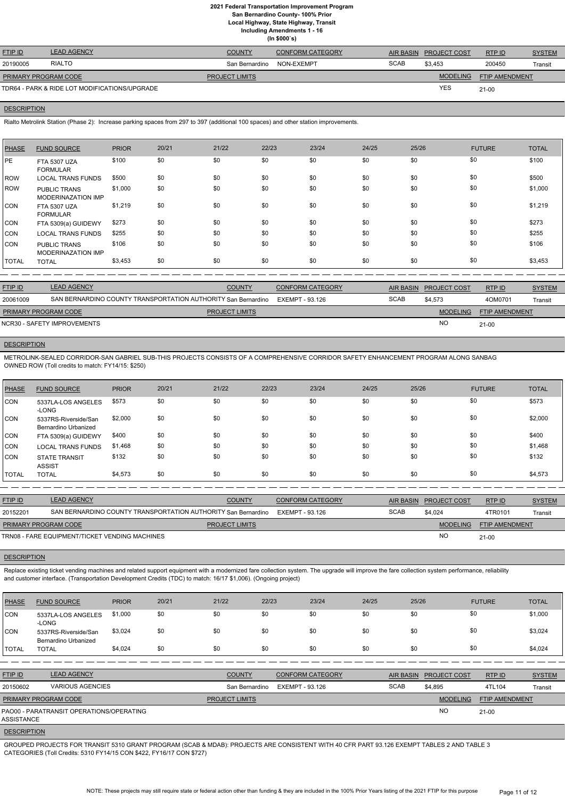**Local Highway, State Highway, Transit**

**Including Amendments 1 - 16**

|  | (ln \$000's) |
|--|--------------|
|--|--------------|

| <b>FTIP ID</b>       | <b>LEAD AGENCY</b>                            | <b>COUNTY</b>         | <b>CONFORM CATEGORY</b> | AIR BASIN   | <b>PROJECT COST</b> | RTP ID                | <b>SYSTEM</b> |
|----------------------|-----------------------------------------------|-----------------------|-------------------------|-------------|---------------------|-----------------------|---------------|
| 20190005             | <b>RIALTO</b>                                 | San Bernardino        | NON-EXEMPT              | <b>SCAB</b> | \$3,453             | 200450                | Transit       |
| PRIMARY PROGRAM CODE |                                               | <b>PROJECT LIMITS</b> |                         |             | <b>MODELING</b>     | <b>FTIP AMENDMENT</b> |               |
|                      | TDR64 - PARK & RIDE LOT MODIFICATIONS/UPGRADE |                       |                         |             | <b>YES</b>          | 21-00                 |               |

#### **DESCRIPTION**

Rialto Metrolink Station (Phase 2): Increase parking spaces from 297 to 397 (additional 100 spaces) and other station improvements.

| PHASE        | <b>FUND SOURCE</b>                               | <b>PRIOR</b> | 20/21 | 21/22 | 22/23 | 23/24 | 24/25 | 25/26 | <b>FUTURE</b> | <b>TOTAL</b> |
|--------------|--------------------------------------------------|--------------|-------|-------|-------|-------|-------|-------|---------------|--------------|
| PE           | <b>FTA 5307 UZA</b><br><b>FORMULAR</b>           | \$100        | \$0   | \$0   | \$0   | \$0   | \$0   | \$0   | \$0           | \$100        |
| ROW          | <b>LOCAL TRANS FUNDS</b>                         | \$500        | \$0   | \$0   | \$0   | \$0   | \$0   | \$0   | \$0           | \$500        |
| <b>IROW</b>  | <b>PUBLIC TRANS</b><br><b>MODERINAZATION IMP</b> | \$1,000      | \$0   | \$0   | \$0   | \$0   | \$0   | \$0   | \$0           | \$1,000      |
| ICON         | <b>FTA 5307 UZA</b><br><b>FORMULAR</b>           | \$1,219      | \$0   | \$0   | \$0   | \$0   | \$0   | \$0   | \$0           | \$1,219      |
| CON          | FTA 5309(a) GUIDEWY                              | \$273        | \$0   | \$0   | \$0   | \$0   | \$0   | \$0   | \$0           | \$273        |
| <b>CON</b>   | <b>LOCAL TRANS FUNDS</b>                         | \$255        | \$0   | \$0   | \$0   | \$0   | \$0   | \$0   | \$0           | \$255        |
| ICON         | <b>PUBLIC TRANS</b><br><b>MODERINAZATION IMP</b> | \$106        | \$0   | \$0   | \$0   | \$0   | \$0   | \$0   | \$0           | \$106        |
| <b>TOTAL</b> | <b>TOTAL</b>                                     | \$3,453      | \$0   | \$0   | \$0   | \$0   | \$0   | \$0   | \$0           | \$3,453      |

| <b>FTIP ID</b>              | <b>LEAD AGENCY</b>                                            | <b>COUNTY</b>         | <b>CONFORM CATEGORY</b> |             | AIR BASIN PROJECT COST | RTPID                 | <b>SYSTEM</b> |
|-----------------------------|---------------------------------------------------------------|-----------------------|-------------------------|-------------|------------------------|-----------------------|---------------|
| 20061009                    | SAN BERNARDINO COUNTY TRANSPORTATION AUTHORITY San Bernardino |                       | EXEMPT - 93.126         | <b>SCAB</b> | \$4.573                | 4OM0701               | Transit       |
| <b>PRIMARY PROGRAM CODE</b> |                                                               | <b>PROJECT LIMITS</b> |                         |             | <b>MODELING</b>        | <b>FTIP AMENDMENT</b> |               |
|                             | NCR30 - SAFETY IMPROVEMENTS                                   |                       |                         |             | <b>NC</b>              | $21-00$               |               |

# **DESCRIPTION**

Replace existing ticket vending machines and related support equipment with a modernized fare collection system il improve the fare collection system performance, reliability and customer interface. (Transportation Development Credits (TDC) to match: 16/17 \$1,006). (Ongoing project)

METROLINK-SEALED CORRIDOR-SAN GABRIEL SUB-THIS PROJECTS CONSISTS OF A COMPREHENSIVE CORRIDOR SAFETY ENHANCEMENT PROGRAM ALONG SANBAG OWNED ROW (Toll credits to match: FY14/15: \$250)

| <b>PHASE</b> | <b>FUND SOURCE</b>                           | <b>PRIOR</b> | 20/21 | 21/22 | 22/23 | 23/24 | 24/25 | 25/26 | <b>FUTURE</b> | <b>TOTAL</b> |
|--------------|----------------------------------------------|--------------|-------|-------|-------|-------|-------|-------|---------------|--------------|
| CON          | 5337LA-LOS ANGELES<br>-LONG                  | \$573        | \$0   | \$0   | \$0   | \$0   | \$0   | \$0   | \$0           | \$573        |
| ICON.        | 5337RS-Riverside/San<br>Bernardino Urbanized | \$2,000      | \$0   | \$0   | \$0   | \$0   | \$0   | \$0   | \$0           | \$2,000      |
| CON          | FTA 5309(a) GUIDEWY                          | \$400        | \$0   | \$0   | \$0   | \$0   | \$0   | \$0   | \$0           | \$400        |
| <b>CON</b>   | <b>LOCAL TRANS FUNDS</b>                     | \$1,468      | \$0   | \$0   | \$0   | \$0   | \$0   | \$0   | \$0           | \$1,468      |
| ICON         | <b>STATE TRANSIT</b><br><b>ASSIST</b>        | \$132        | \$0   | \$0   | \$0   | \$0   | \$0   | \$0   | \$0           | \$132        |
| I TOTAL      | <b>TOTAL</b>                                 | \$4,573      | \$0   | \$0   | \$0   | \$0   | \$0   | \$0   | \$0           | \$4,573      |

| <b>FTIP ID</b>       | <b>LEAD AGENCY</b>                                            | <b>COUNTY</b>         | <b>CONFORM CATEGORY</b> | AIR BASIN   | <b>PROJECT COST</b> | RTPID          | <b>SYSTEM</b> |
|----------------------|---------------------------------------------------------------|-----------------------|-------------------------|-------------|---------------------|----------------|---------------|
| 20152201             | SAN BERNARDINO COUNTY TRANSPORTATION AUTHORITY San Bernardino |                       | EXEMPT - 93.126         | <b>SCAB</b> | \$4.024             | 4TR0101        | Transit       |
| PRIMARY PROGRAM CODE |                                                               | <b>PROJECT LIMITS</b> |                         |             | <b>MODELING</b>     | FTIP AMENDMENT |               |
|                      | TRN08 - FARE EQUIPMENT/TICKET VENDING MACHINES                |                       |                         |             | <b>NC</b>           | $21 - 00$      |               |

#### **DESCRIPTION**

| PHASE                                                  | <b>FUND SOURCE</b>                           | <b>PRIOR</b> | 20/21 | 21/22                 | 22/23           | 23/24                   | 24/25       | 25/26            |                     | <b>FUTURE</b>         | <b>TOTAL</b>  |
|--------------------------------------------------------|----------------------------------------------|--------------|-------|-----------------------|-----------------|-------------------------|-------------|------------------|---------------------|-----------------------|---------------|
| <b>CON</b>                                             | 5337LA-LOS ANGELES<br>-LONG                  | \$1,000      | \$0   | \$0                   | \$0             | \$0                     | \$0         | \$0              |                     | \$0                   | \$1,000       |
| CON                                                    | 5337RS-Riverside/San<br>Bernardino Urbanized | \$3,024      | \$0   | \$0                   | \$0             | \$0                     | \$0         | \$0              |                     | \$0                   | \$3,024       |
| <b>TOTAL</b>                                           | <b>TOTAL</b>                                 | \$4,024      | \$0   | \$0                   | \$0             | \$0                     | \$0         | \$0              |                     | \$0                   | \$4,024       |
|                                                        |                                              |              |       |                       |                 |                         |             |                  |                     |                       |               |
| <b>FTIP ID</b>                                         | <b>LEAD AGENCY</b>                           |              |       | <b>COUNTY</b>         |                 | <b>CONFORM CATEGORY</b> |             | <b>AIR BASIN</b> | <b>PROJECT COST</b> | RTP ID                | <b>SYSTEM</b> |
| 20150602                                               | <b>VARIOUS AGENCIES</b>                      |              |       | San Bernardino        | EXEMPT - 93.126 |                         | <b>SCAB</b> |                  | \$4,895             | 4TL104                | Transit       |
| PRIMARY PROGRAM CODE                                   |                                              |              |       | <b>PROJECT LIMITS</b> |                 |                         |             |                  | <b>MODELING</b>     | <b>FTIP AMENDMENT</b> |               |
| PAO00 - PARATRANSIT OPERATIONS/OPERATING<br>ASSISTANCE |                                              |              |       |                       |                 |                         |             |                  | <b>NO</b>           | $21 - 00$             |               |
| <b>DESCRIPTION</b>                                     |                                              |              |       |                       |                 |                         |             |                  |                     |                       |               |

GROUPED PROJECTS FOR TRANSIT 5310 GRANT PROGRAM (SCAB & MDAB): PROJECTS ARE CONSISTENT WITH 40 CFR PART 93.126 EXEMPT TABLES 2 AND TABLE 3 CATEGORIES (Toll Credits: 5310 FY14/15 CON \$422, FY16/17 CON \$727)